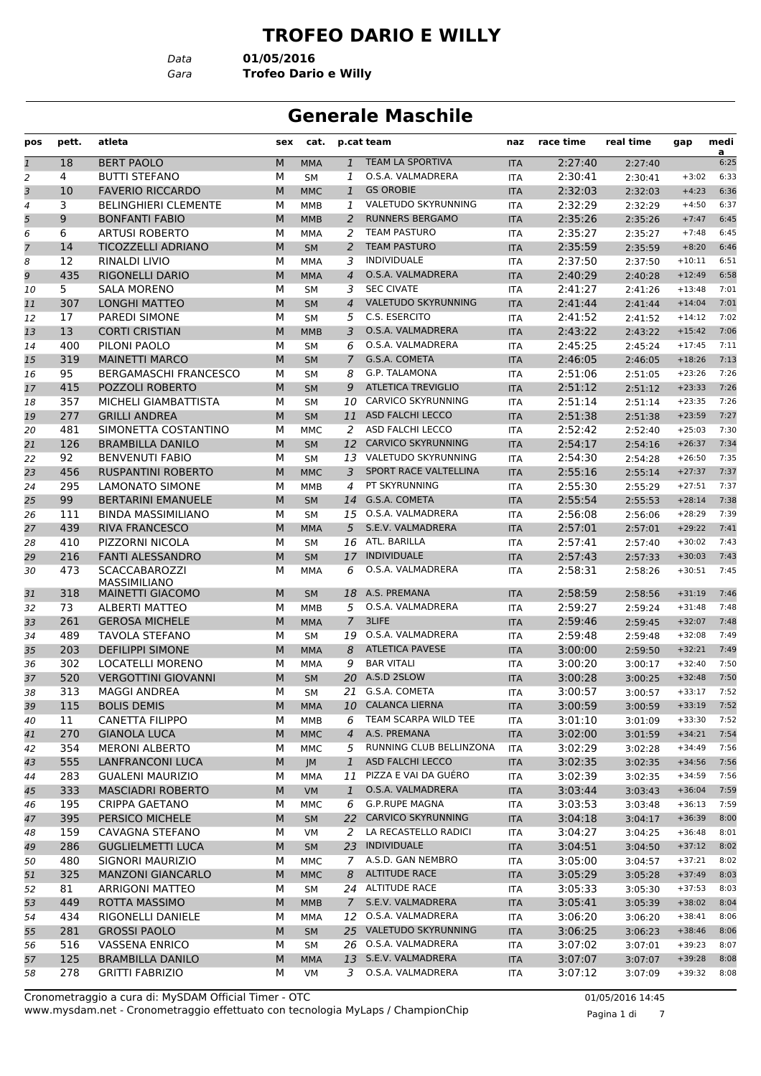#### **TROFEO DARIO E WILLY**

*Data* **01/05/2016**

*Gara* **Trofeo Dario e Willy**

# **Generale Maschile**

| pos            | pett. | atleta                                      | sex | cat.       |                | p.cat team                 | naz        | race time | real time | gap      | medi      |
|----------------|-------|---------------------------------------------|-----|------------|----------------|----------------------------|------------|-----------|-----------|----------|-----------|
| $\mathbf{1}$   | 18    | <b>BERT PAOLO</b>                           | M   | <b>MMA</b> | $\mathbf{1}$   | <b>TEAM LA SPORTIVA</b>    | <b>ITA</b> | 2:27:40   | 2:27:40   |          | a<br>6:25 |
| $\overline{2}$ | 4     | <b>BUTTI STEFANO</b>                        | м   | <b>SM</b>  | 1              | O.S.A. VALMADRERA          | <b>ITA</b> | 2:30:41   | 2:30:41   | $+3:02$  | 6:33      |
| 3              | 10    | <b>FAVERIO RICCARDO</b>                     | M   | <b>MMC</b> | $\mathbf{1}$   | <b>GS OROBIE</b>           | <b>ITA</b> | 2:32:03   | 2:32:03   | $+4:23$  | 6:36      |
| $\overline{4}$ | 3     | <b>BELINGHIERI CLEMENTE</b>                 | М   | <b>MMB</b> | 1              | VALETUDO SKYRUNNING        | <b>ITA</b> | 2:32:29   | 2:32:29   | $+4:50$  | 6:37      |
| 5              | 9     | <b>BONFANTI FABIO</b>                       | M   | <b>MMB</b> | 2              | <b>RUNNERS BERGAMO</b>     | <b>ITA</b> | 2:35:26   | 2:35:26   | $+7:47$  | 6:45      |
| 6              | 6     | <b>ARTUSI ROBERTO</b>                       | м   | <b>MMA</b> | 2              | <b>TEAM PASTURO</b>        | <b>ITA</b> | 2:35:27   | 2:35:27   | $+7:48$  | 6:45      |
| $\overline{7}$ | 14    | <b>TICOZZELLI ADRIANO</b>                   | M   | <b>SM</b>  | 2              | <b>TEAM PASTURO</b>        | <b>ITA</b> | 2:35:59   | 2:35:59   | $+8:20$  | 6:46      |
| 8              | 12    | <b>RINALDI LIVIO</b>                        | м   | MMA        | 3              | <b>INDIVIDUALE</b>         | <b>ITA</b> | 2:37:50   | 2:37:50   | $+10:11$ | 6:51      |
| 9              | 435   | <b>RIGONELLI DARIO</b>                      | M   | <b>MMA</b> | $\overline{4}$ | O.S.A. VALMADRERA          | <b>ITA</b> | 2:40:29   | 2:40:28   | $+12:49$ | 6:58      |
| 10             | 5     | <b>SALA MORENO</b>                          | M   | <b>SM</b>  | 3              | <b>SEC CIVATE</b>          | <b>ITA</b> | 2:41:27   | 2:41:26   | $+13:48$ | 7:01      |
| 11             | 307   | <b>LONGHI MATTEO</b>                        | M   | <b>SM</b>  | $\overline{4}$ | <b>VALETUDO SKYRUNNING</b> | <b>ITA</b> | 2:41:44   | 2:41:44   | $+14:04$ | 7:01      |
| 12             | 17    | <b>PAREDI SIMONE</b>                        | м   | <b>SM</b>  | 5              | C.S. ESERCITO              | <b>ITA</b> | 2:41:52   | 2:41:52   | $+14:12$ | 7:02      |
| 13             | 13    | <b>CORTI CRISTIAN</b>                       | M   | <b>MMB</b> | 3              | O.S.A. VALMADRERA          | <b>ITA</b> | 2:43:22   | 2:43:22   | $+15:42$ | 7:06      |
| 14             | 400   | PILONI PAOLO                                | М   | <b>SM</b>  | 6              | O.S.A. VALMADRERA          | <b>ITA</b> | 2:45:25   | 2:45:24   | $+17:45$ | 7:11      |
| 15             | 319   | <b>MAINETTI MARCO</b>                       | M   | <b>SM</b>  | $\overline{7}$ | G.S.A. COMETA              | <b>ITA</b> | 2:46:05   | 2:46:05   | $+18:26$ | 7:13      |
| 16             | 95    | <b>BERGAMASCHI FRANCESCO</b>                | М   | <b>SM</b>  | 8              | <b>G.P. TALAMONA</b>       | <b>ITA</b> | 2:51:06   | 2:51:05   | $+23:26$ | 7:26      |
| 17             | 415   | <b>POZZOLI ROBERTO</b>                      | M   | <b>SM</b>  | 9              | <b>ATLETICA TREVIGLIO</b>  | <b>ITA</b> | 2:51:12   | 2:51:12   | $+23:33$ | 7:26      |
| 18             | 357   | MICHELI GIAMBATTISTA                        | М   | <b>SM</b>  | 10             | <b>CARVICO SKYRUNNING</b>  | <b>ITA</b> | 2:51:14   | 2:51:14   | $+23:35$ | 7:26      |
| 19             | 277   | <b>GRILLI ANDREA</b>                        | M   | <b>SM</b>  | 11             | <b>ASD FALCHI LECCO</b>    | <b>ITA</b> | 2:51:38   | 2:51:38   | $+23:59$ | 7:27      |
| 20             | 481   | SIMONETTA COSTANTINO                        | м   | <b>MMC</b> | 2              | ASD FALCHI LECCO           | <b>ITA</b> | 2:52:42   | 2:52:40   | $+25:03$ | 7:30      |
| 21             | 126   | <b>BRAMBILLA DANILO</b>                     | M   | <b>SM</b>  | 12             | <b>CARVICO SKYRUNNING</b>  | <b>ITA</b> | 2:54:17   | 2:54:16   | $+26:37$ | 7:34      |
| 22             | 92    | <b>BENVENUTI FABIO</b>                      | м   | <b>SM</b>  |                | 13 VALETUDO SKYRUNNING     | <b>ITA</b> | 2:54:30   | 2:54:28   | $+26:50$ | 7:35      |
| 23             | 456   | <b>RUSPANTINI ROBERTO</b>                   | M   | <b>MMC</b> | 3              | SPORT RACE VALTELLINA      | <b>ITA</b> | 2:55:16   | 2:55:14   | $+27:37$ | 7:37      |
| 24             | 295   | <b>LAMONATO SIMONE</b>                      | М   | <b>MMB</b> | 4              | PT SKYRUNNING              | <b>ITA</b> | 2:55:30   | 2:55:29   | $+27:51$ | 7:37      |
| 25             | 99    | <b>BERTARINI EMANUELE</b>                   | M   | <b>SM</b>  | 14             | G.S.A. COMETA              | <b>ITA</b> | 2:55:54   | 2:55:53   | $+28:14$ | 7:38      |
| 26             | 111   | <b>BINDA MASSIMILIANO</b>                   | М   | <b>SM</b>  | 15             | O.S.A. VALMADRERA          | <b>ITA</b> | 2:56:08   | 2:56:06   | $+28:29$ | 7:39      |
| 27             | 439   | <b>RIVA FRANCESCO</b>                       | M   | <b>MMA</b> | 5              | S.E.V. VALMADRERA          | <b>ITA</b> | 2:57:01   | 2:57:01   | $+29:22$ | 7:41      |
| 28             | 410   | PIZZORNI NICOLA                             | м   | <b>SM</b>  | 16             | ATL. BARILLA               | <b>ITA</b> | 2:57:41   | 2:57:40   | $+30:02$ | 7:43      |
| 29             | 216   | <b>FANTI ALESSANDRO</b>                     | M   | <b>SM</b>  | 17             | <b>INDIVIDUALE</b>         | <b>ITA</b> | 2:57:43   | 2:57:33   | $+30:03$ | 7:43      |
| 30             | 473   | <b>SCACCABAROZZI</b><br><b>MASSIMILIANO</b> | м   | <b>MMA</b> | 6              | O.S.A. VALMADRERA          | <b>ITA</b> | 2:58:31   | 2:58:26   | $+30:51$ | 7:45      |
| 31             | 318   | MAINETTI GIACOMO                            | M   | <b>SM</b>  | 18             | A.S. PREMANA               | <b>ITA</b> | 2:58:59   | 2:58:56   | $+31:19$ | 7:46      |
| 32             | 73    | ALBERTI MATTEO                              | М   | <b>MMB</b> | 5              | O.S.A. VALMADRERA          | <b>ITA</b> | 2:59:27   | 2:59:24   | $+31:48$ | 7:48      |
| 33             | 261   | <b>GEROSA MICHELE</b>                       | M   | <b>MMA</b> | $\overline{7}$ | 3LIFE                      | <b>ITA</b> | 2:59:46   | 2:59:45   | $+32:07$ | 7:48      |
| 34             | 489   | <b>TAVOLA STEFANO</b>                       | м   | <b>SM</b>  | 19             | O.S.A. VALMADRERA          | <b>ITA</b> | 2:59:48   | 2:59:48   | $+32:08$ | 7:49      |
| 35             | 203   | <b>DEFILIPPI SIMONE</b>                     | M   | <b>MMA</b> | 8              | <b>ATLETICA PAVESE</b>     | <b>ITA</b> | 3:00:00   | 2:59:50   | $+32:21$ | 7:49      |
| 36             | 302   | <b>LOCATELLI MORENO</b>                     | М   | MMA        | 9              | <b>BAR VITALI</b>          | <b>ITA</b> | 3:00:20   | 3:00:17   | $+32:40$ | 7:50      |
| 37             | 520   | <b>VERGOTTINI GIOVANNI</b>                  | M   | <b>SM</b>  | 20             | A.S.D 2SLOW                | <b>ITA</b> | 3:00:28   | 3:00:25   | $+32:48$ | 7:50      |
| 38             | 313   | <b>MAGGI ANDREA</b>                         | м   | <b>SM</b>  | 21             | G.S.A. COMETA              | <b>ITA</b> | 3:00:57   | 3:00:57   | $+33:17$ | 7:52      |
| 39             | 115   | <b>BOLIS DEMIS</b>                          | M   | <b>MMA</b> |                | 10 CALANCA LIERNA          | <b>ITA</b> | 3:00:59   | 3:00:59   | $+33:19$ | 7:52      |
| 40             | 11    | CANETTA FILIPPO                             | М   | MMB        | 6              | TEAM SCARPA WILD TEE       | ITA        | 3:01:10   | 3:01:09   | $+33:30$ | 7:52      |
| 41             | 270   | <b>GIANOLA LUCA</b>                         | M   | <b>MMC</b> | $\overline{4}$ | A.S. PREMANA               | <b>ITA</b> | 3:02:00   | 3:01:59   | $+34:21$ | 7:54      |
| 42             | 354   | <b>MERONI ALBERTO</b>                       | М   | MMC        | 5              | RUNNING CLUB BELLINZONA    | ITA        | 3:02:29   | 3:02:28   | $+34:49$ | 7:56      |
| 43             | 555   | <b>LANFRANCONI LUCA</b>                     | M   | JM         | $\mathbf{1}$   | <b>ASD FALCHI LECCO</b>    | <b>ITA</b> | 3:02:35   | 3:02:35   | $+34:56$ | 7:56      |
| 44             | 283   | <b>GUALENI MAURIZIO</b>                     | М   | <b>MMA</b> | 11             | PIZZA E VAI DA GUÉRO       | ITA        | 3:02:39   | 3:02:35   | $+34:59$ | 7:56      |
| 45             | 333   | <b>MASCIADRI ROBERTO</b>                    | М   | <b>VM</b>  | $\mathbf{1}$   | O.S.A. VALMADRERA          | <b>ITA</b> | 3:03:44   | 3:03:43   | $+36:04$ | 7:59      |
| 46             | 195   | <b>CRIPPA GAETANO</b>                       | М   | MMC        | 6              | <b>G.P.RUPE MAGNA</b>      | ITA        | 3:03:53   | 3:03:48   | $+36:13$ | 7:59      |
| 47             | 395   | PERSICO MICHELE                             | M   | <b>SM</b>  |                | 22 CARVICO SKYRUNNING      | <b>ITA</b> | 3:04:18   | 3:04:17   | $+36:39$ | 8:00      |
| 48             | 159   | CAVAGNA STEFANO                             | м   | VM         | 2              | LA RECASTELLO RADICI       | ITA        | 3:04:27   | 3:04:25   | $+36:48$ | 8:01      |
| 49             | 286   | <b>GUGLIELMETTI LUCA</b>                    | M   | <b>SM</b>  |                | 23 INDIVIDUALE             | <b>ITA</b> | 3:04:51   | 3:04:50   | $+37:12$ | 8:02      |
| 50             | 480   | SIGNORI MAURIZIO                            | М   | MMC        | 7              | A.S.D. GAN NEMBRO          | ITA        | 3:05:00   | 3:04:57   | $+37:21$ | 8:02      |
| 51             | 325   | <b>MANZONI GIANCARLO</b>                    | М   | <b>MMC</b> | 8              | <b>ALTITUDE RACE</b>       | <b>ITA</b> | 3:05:29   | 3:05:28   | $+37:49$ | 8:03      |
| 52             | 81    | ARRIGONI MATTEO                             | м   | SM         |                | 24 ALTITUDE RACE           | ITA        | 3:05:33   | 3:05:30   | $+37:53$ | 8:03      |
| 53             | 449   | ROTTA MASSIMO                               | M   | <b>MMB</b> | $7^{\circ}$    | S.E.V. VALMADRERA          | <b>ITA</b> | 3:05:41   | 3:05:39   | $+38:02$ | 8:04      |
| 54             | 434   | RIGONELLI DANIELE                           | М   | MMA        |                | 12 O.S.A. VALMADRERA       | ITA        | 3:06:20   | 3:06:20   | $+38:41$ | 8:06      |
| 55             | 281   | <b>GROSSI PAOLO</b>                         | M   | <b>SM</b>  |                | 25 VALETUDO SKYRUNNING     | <b>ITA</b> | 3:06:25   | 3:06:23   | $+38:46$ | 8:06      |
| 56             | 516   | VASSENA ENRICO                              | М   | SM         |                | 26 O.S.A. VALMADRERA       | ITA        | 3:07:02   | 3:07:01   | $+39:23$ | 8:07      |
| 57             | 125   | <b>BRAMBILLA DANILO</b>                     | М   | <b>MMA</b> |                | 13 S.E.V. VALMADRERA       | <b>ITA</b> | 3:07:07   | 3:07:07   | $+39:28$ | 8:08      |
| 58             | 278   | <b>GRITTI FABRIZIO</b>                      | М   | VM         | 3              | O.S.A. VALMADRERA          | ITA        | 3:07:12   | 3:07:09   | $+39:32$ | 8:08      |

www.mysdam.net - Cronometraggio effettuato con tecnologia MyLaps / ChampionChip Cronometraggio a cura di: MySDAM Official Timer - OTC 01/05/2016 14:45

Pagina 1 di 7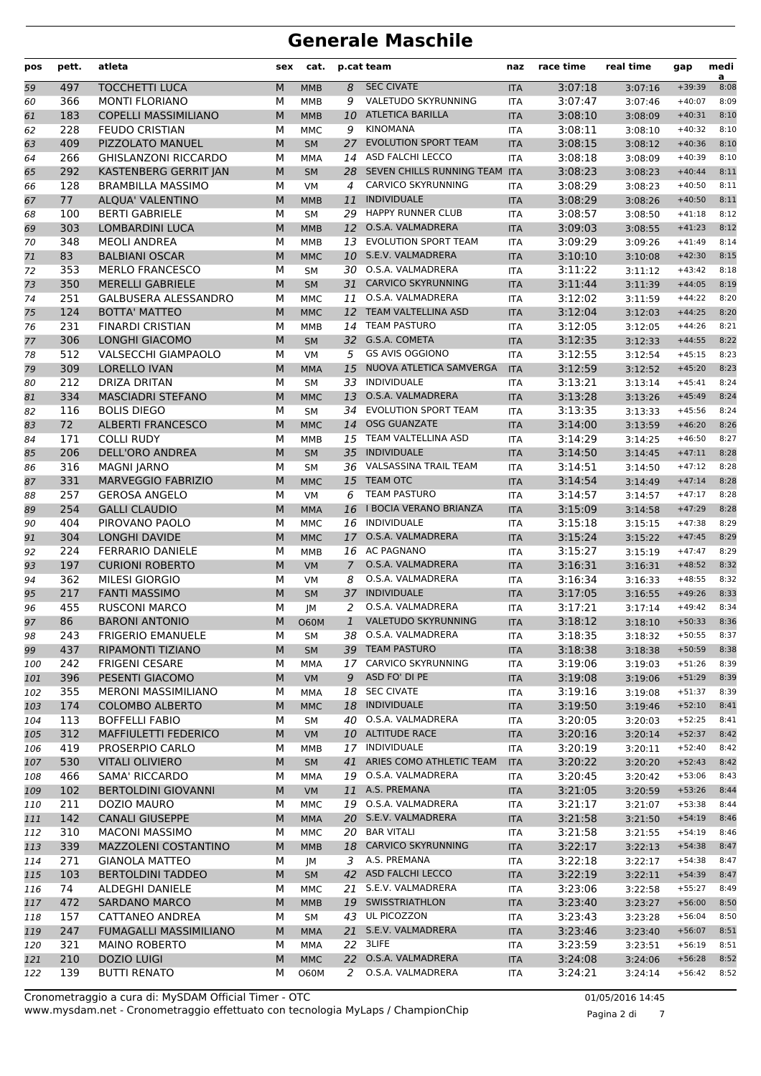| pos | pett. | atleta                        | sex | cat.        |                | p.cat team                   | naz        | race time | real time | gap      | medi<br>a |
|-----|-------|-------------------------------|-----|-------------|----------------|------------------------------|------------|-----------|-----------|----------|-----------|
| 59  | 497   | <b>TOCCHETTI LUCA</b>         | M   | <b>MMB</b>  | 8              | <b>SEC CIVATE</b>            | <b>ITA</b> | 3:07:18   | 3:07:16   | $+39:39$ | 8:08      |
| 60  | 366   | <b>MONTI FLORIANO</b>         | M   | <b>MMB</b>  | 9              | VALETUDO SKYRUNNING          | <b>ITA</b> | 3:07:47   | 3:07:46   | $+40:07$ | 8:09      |
| 61  | 183   | <b>COPELLI MASSIMILIANO</b>   | M   | <b>MMB</b>  | 10             | <b>ATLETICA BARILLA</b>      | <b>ITA</b> | 3:08:10   | 3:08:09   | $+40:31$ | 8:10      |
| 62  | 228   | <b>FEUDO CRISTIAN</b>         | M   | <b>MMC</b>  | 9              | <b>KINOMANA</b>              | <b>ITA</b> | 3:08:11   | 3:08:10   | $+40:32$ | 8:10      |
| 63  | 409   | PIZZOLATO MANUEL              | M   | <b>SM</b>   | 27             | <b>EVOLUTION SPORT TEAM</b>  | <b>ITA</b> | 3:08:15   | 3:08:12   | $+40:36$ | 8:10      |
| 64  | 266   | <b>GHISLANZONI RICCARDO</b>   | М   | MMA         | 14             | ASD FALCHI LECCO             | <b>ITA</b> | 3:08:18   | 3:08:09   | $+40:39$ | 8:10      |
| 65  | 292   | KASTENBERG GERRIT JAN         | M   | <b>SM</b>   | 28             | SEVEN CHILLS RUNNING TEAM    | <b>ITA</b> | 3:08:23   | 3:08:23   | $+40:44$ | 8:11      |
| 66  | 128   | <b>BRAMBILLA MASSIMO</b>      | М   | <b>VM</b>   | 4              | <b>CARVICO SKYRUNNING</b>    | <b>ITA</b> | 3:08:29   | 3:08:23   | $+40:50$ | 8:11      |
| 67  | 77    | <b>ALOUA' VALENTINO</b>       | M   | <b>MMB</b>  | 11             | <b>INDIVIDUALE</b>           | <b>ITA</b> | 3:08:29   | 3:08:26   | $+40:50$ | 8:11      |
| 68  | 100   | <b>BERTI GABRIELE</b>         | M   | <b>SM</b>   | 29             | <b>HAPPY RUNNER CLUB</b>     | <b>ITA</b> | 3:08:57   | 3:08:50   | $+41:18$ | 8:12      |
| 69  | 303   | <b>LOMBARDINI LUCA</b>        | M   | <b>MMB</b>  | 12             | O.S.A. VALMADRERA            | <b>ITA</b> | 3:09:03   | 3:08:55   | $+41:23$ | 8:12      |
| 70  | 348   | <b>MEOLI ANDREA</b>           | M   | MMB         | 13             | EVOLUTION SPORT TEAM         | <b>ITA</b> | 3:09:29   | 3:09:26   | $+41:49$ | 8:14      |
| 71  | 83    | <b>BALBIANI OSCAR</b>         | M   | <b>MMC</b>  | 10             | S.E.V. VALMADRERA            | <b>ITA</b> | 3:10:10   | 3:10:08   | $+42:30$ | 8:15      |
| 72  | 353   | <b>MERLO FRANCESCO</b>        | М   | <b>SM</b>   | 30             | O.S.A. VALMADRERA            | <b>ITA</b> | 3:11:22   | 3:11:12   | $+43:42$ | 8:18      |
| 73  | 350   | <b>MERELLI GABRIELE</b>       | M   | <b>SM</b>   | 31             | <b>CARVICO SKYRUNNING</b>    | <b>ITA</b> | 3:11:44   | 3:11:39   | $+44:05$ | 8:19      |
| 74  | 251   | <b>GALBUSERA ALESSANDRO</b>   | M   | <b>MMC</b>  | 11             | O.S.A. VALMADRERA            | <b>ITA</b> | 3:12:02   | 3:11:59   | $+44:22$ | 8:20      |
| 75  | 124   | <b>BOTTA' MATTEO</b>          | M   | <b>MMC</b>  | 12             | <b>TEAM VALTELLINA ASD</b>   | <b>ITA</b> | 3:12:04   | 3:12:03   | $+44:25$ | 8:20      |
| 76  | 231   | <b>FINARDI CRISTIAN</b>       | М   | <b>MMB</b>  | 14             | <b>TEAM PASTURO</b>          | <b>ITA</b> | 3:12:05   | 3:12:05   | $+44:26$ | 8:21      |
| 77  | 306   | <b>LONGHI GIACOMO</b>         | M   | <b>SM</b>   |                | 32 G.S.A. COMETA             | <b>ITA</b> | 3:12:35   | 3:12:33   | $+44:55$ | 8:22      |
| 78  | 512   | VALSECCHI GIAMPAOLO           | М   | <b>VM</b>   | 5              | <b>GS AVIS OGGIONO</b>       | <b>ITA</b> | 3:12:55   | 3:12:54   | $+45:15$ | 8:23      |
| 79  | 309   | <b>LORELLO IVAN</b>           | M   | <b>MMA</b>  | 15             | NUOVA ATLETICA SAMVERGA      | <b>ITA</b> | 3:12:59   | 3:12:52   | $+45:20$ | 8:23      |
| 80  | 212   | <b>DRIZA DRITAN</b>           | M   | <b>SM</b>   | 33             | <b>INDIVIDUALE</b>           | <b>ITA</b> | 3:13:21   | 3:13:14   | $+45:41$ | 8:24      |
| 81  | 334   | <b>MASCIADRI STEFANO</b>      | M   | <b>MMC</b>  | 13             | O.S.A. VALMADRERA            | <b>ITA</b> | 3:13:28   | 3:13:26   | $+45:49$ | 8:24      |
| 82  | 116   | <b>BOLIS DIEGO</b>            | M   | <b>SM</b>   | 34             | EVOLUTION SPORT TEAM         | <b>ITA</b> | 3:13:35   | 3:13:33   | $+45:56$ | 8:24      |
| 83  | 72    | <b>ALBERTI FRANCESCO</b>      | M   | <b>MMC</b>  | 14             | <b>OSG GUANZATE</b>          | <b>ITA</b> | 3:14:00   | 3:13:59   | $+46:20$ | 8:26      |
| 84  | 171   | <b>COLLI RUDY</b>             | M   | <b>MMB</b>  | 15             | TEAM VALTELLINA ASD          | <b>ITA</b> | 3:14:29   | 3:14:25   | $+46:50$ | 8:27      |
| 85  | 206   | <b>DELL'ORO ANDREA</b>        | M   | <b>SM</b>   | 35             | <b>INDIVIDUALE</b>           | <b>ITA</b> | 3:14:50   | 3:14:45   | $+47:11$ | 8:28      |
| 86  | 316   | <b>MAGNI JARNO</b>            | M   | <b>SM</b>   | 36             | <b>VALSASSINA TRAIL TEAM</b> | <b>ITA</b> | 3:14:51   | 3:14:50   | $+47:12$ | 8:28      |
| 87  | 331   | <b>MARVEGGIO FABRIZIO</b>     | M   | <b>MMC</b>  | 15             | <b>TEAM OTC</b>              | <b>ITA</b> | 3:14:54   | 3:14:49   | $+47:14$ | 8:28      |
| 88  | 257   | <b>GEROSA ANGELO</b>          | М   | <b>VM</b>   | 6              | <b>TEAM PASTURO</b>          | <b>ITA</b> | 3:14:57   | 3:14:57   | $+47:17$ | 8:28      |
| 89  | 254   | <b>GALLI CLAUDIO</b>          | M   | <b>MMA</b>  | 16             | I BOCIA VERANO BRIANZA       | <b>ITA</b> | 3:15:09   | 3:14:58   | $+47:29$ | 8:28      |
| 90  | 404   | PIROVANO PAOLO                | М   | <b>MMC</b>  | 16             | <b>INDIVIDUALE</b>           | <b>ITA</b> | 3:15:18   | 3:15:15   | $+47:38$ | 8:29      |
| 91  | 304   | <b>LONGHI DAVIDE</b>          | M   | <b>MMC</b>  | 17             | O.S.A. VALMADRERA            | <b>ITA</b> | 3:15:24   | 3:15:22   | $+47:45$ | 8:29      |
| 92  | 224   | <b>FERRARIO DANIELE</b>       | M   | <b>MMB</b>  | 16             | <b>AC PAGNANO</b>            | <b>ITA</b> | 3:15:27   | 3:15:19   | $+47:47$ | 8:29      |
| 93  | 197   | <b>CURIONI ROBERTO</b>        | M   | VM          | $\overline{7}$ | O.S.A. VALMADRERA            | <b>ITA</b> | 3:16:31   | 3:16:31   | $+48:52$ | 8:32      |
| 94  | 362   | <b>MILESI GIORGIO</b>         | М   | <b>VM</b>   | 8              | O.S.A. VALMADRERA            | <b>ITA</b> | 3:16:34   | 3:16:33   | $+48:55$ | 8:32      |
| 95  | 217   | <b>FANTI MASSIMO</b>          | M   | <b>SM</b>   | 37             | <b>INDIVIDUALE</b>           | <b>ITA</b> | 3:17:05   | 3:16:55   | $+49:26$ | 8:33      |
| 96  | 455   | <b>RUSCONI MARCO</b>          | М   | JМ          | 2              | O.S.A. VALMADRERA            | <b>ITA</b> | 3:17:21   | 3:17:14   | $+49:42$ | 8:34      |
| 97  | 86    | <b>BARONI ANTONIO</b>         | M   | <b>O60M</b> | $\mathbf{1}$   | VALETUDO SKYRUNNING          | <b>ITA</b> | 3:18:12   | 3:18:10   | $+50:33$ | 8:36      |
| 98  | 243   | <b>FRIGERIO EMANUELE</b>      | М   | SM          |                | 38 O.S.A. VALMADRERA         | ITA        | 3:18:35   | 3:18:32   | $+50:55$ | 8:37      |
| 99  | 437   | RIPAMONTI TIZIANO             | M   | SM          |                | 39 TEAM PASTURO              | <b>ITA</b> | 3:18:38   | 3:18:38   | $+50:59$ | 8:38      |
| 100 | 242   | <b>FRIGENI CESARE</b>         | м   | MMA         |                | 17 CARVICO SKYRUNNING        | ITA        | 3:19:06   | 3:19:03   | $+51:26$ | 8:39      |
| 101 | 396   | PESENTI GIACOMO               | M   | VM          |                | 9 ASD FO' DI PE              | <b>ITA</b> | 3:19:08   | 3:19:06   | $+51:29$ | 8:39      |
| 102 | 355   | <b>MERONI MASSIMILIANO</b>    | М   | MMA         |                | 18 SEC CIVATE                | ITA        | 3:19:16   | 3:19:08   | $+51:37$ | 8:39      |
| 103 | 174   | <b>COLOMBO ALBERTO</b>        | M   | <b>MMC</b>  |                | 18 INDIVIDUALE               | <b>ITA</b> | 3:19:50   | 3:19:46   | $+52:10$ | 8:41      |
| 104 | 113   | <b>BOFFELLI FABIO</b>         | М   | SΜ          |                | 40 O.S.A. VALMADRERA         | ITA        | 3:20:05   | 3:20:03   | $+52:25$ | 8:41      |
| 105 | 312   | <b>MAFFIULETTI FEDERICO</b>   | M   | <b>VM</b>   |                | 10 ALTITUDE RACE             | <b>ITA</b> | 3:20:16   | 3:20:14   | $+52:37$ | 8:42      |
| 106 | 419   | PROSERPIO CARLO               | м   | MMB         |                | 17 INDIVIDUALE               | <b>ITA</b> | 3:20:19   | 3:20:11   | $+52:40$ | 8:42      |
| 107 | 530   | <b>VITALI OLIVIERO</b>        | M   | SM          |                | 41 ARIES COMO ATHLETIC TEAM  | <b>ITA</b> | 3:20:22   | 3:20:20   | $+52:43$ | 8:42      |
| 108 | 466   | SAMA' RICCARDO                | М   | <b>MMA</b>  |                | 19 O.S.A. VALMADRERA         | ITA        | 3:20:45   | 3:20:42   | $+53:06$ | 8:43      |
| 109 | 102   | <b>BERTOLDINI GIOVANNI</b>    | M   | <b>VM</b>   |                | 11 A.S. PREMANA              | <b>ITA</b> | 3:21:05   | 3:20:59   | $+53:26$ | 8:44      |
| 110 | 211   | DOZIO MAURO                   | м   | <b>MMC</b>  |                | 19 O.S.A. VALMADRERA         | ITA        | 3:21:17   | 3:21:07   | $+53:38$ | 8:44      |
| 111 | 142   | <b>CANALI GIUSEPPE</b>        | M   | <b>MMA</b>  |                | 20 S.E.V. VALMADRERA         | <b>ITA</b> | 3:21:58   | 3:21:50   | $+54:19$ | 8:46      |
| 112 | 310   | <b>MACONI MASSIMO</b>         | м   | MMC         |                | 20 BAR VITALI                | ITA        | 3:21:58   | 3:21:55   | $+54:19$ | 8:46      |
| 113 | 339   | MAZZOLENI COSTANTINO          | M   | <b>MMB</b>  |                | 18 CARVICO SKYRUNNING        | <b>ITA</b> | 3:22:17   | 3:22:13   | $+54:38$ | 8:47      |
| 114 | 271   | <b>GIANOLA MATTEO</b>         | м   | JM          |                | 3 A.S. PREMANA               | ITA        | 3:22:18   | 3:22:17   | $+54:38$ | 8:47      |
| 115 | 103   | <b>BERTOLDINI TADDEO</b>      | M   | <b>SM</b>   |                | 42 ASD FALCHI LECCO          | <b>ITA</b> | 3:22:19   | 3:22:11   | $+54:39$ | 8:47      |
| 116 | 74    | ALDEGHI DANIELE               | м   | <b>MMC</b>  | 21             | S.E.V. VALMADRERA            | ITA        | 3:23:06   | 3:22:58   | $+55:27$ | 8:49      |
| 117 | 472   | <b>SARDANO MARCO</b>          | M   | <b>MMB</b>  |                | 19 SWISSTRIATHLON            | <b>ITA</b> | 3:23:40   | 3:23:27   | $+56:00$ | 8:50      |
| 118 | 157   | CATTANEO ANDREA               | М   | <b>SM</b>   |                | 43 UL PICOZZON               | ITA        | 3:23:43   | 3:23:28   | $+56:04$ | 8:50      |
| 119 | 247   | <b>FUMAGALLI MASSIMILIANO</b> | M   | <b>MMA</b>  |                | 21 S.E.V. VALMADRERA         | <b>ITA</b> | 3:23:46   | 3:23:40   | $+56:07$ | 8:51      |
| 120 | 321   | <b>MAINO ROBERTO</b>          | М   | MMA         |                | 22 3LIFE                     | ITA        | 3:23:59   | 3:23:51   | $+56:19$ | 8:51      |
| 121 | 210   | <b>DOZIO LUIGI</b>            | M   | <b>MMC</b>  |                | 22 O.S.A. VALMADRERA         | <b>ITA</b> | 3:24:08   | 3:24:06   | $+56:28$ | 8:52      |
| 122 | 139   | <b>BUTTI RENATO</b>           | м   | O60M        | 2              | O.S.A. VALMADRERA            | ITA        | 3:24:21   | 3:24:14   | $+56:42$ | 8:52      |
|     |       |                               |     |             |                |                              |            |           |           |          |           |

Pagina 2 di 7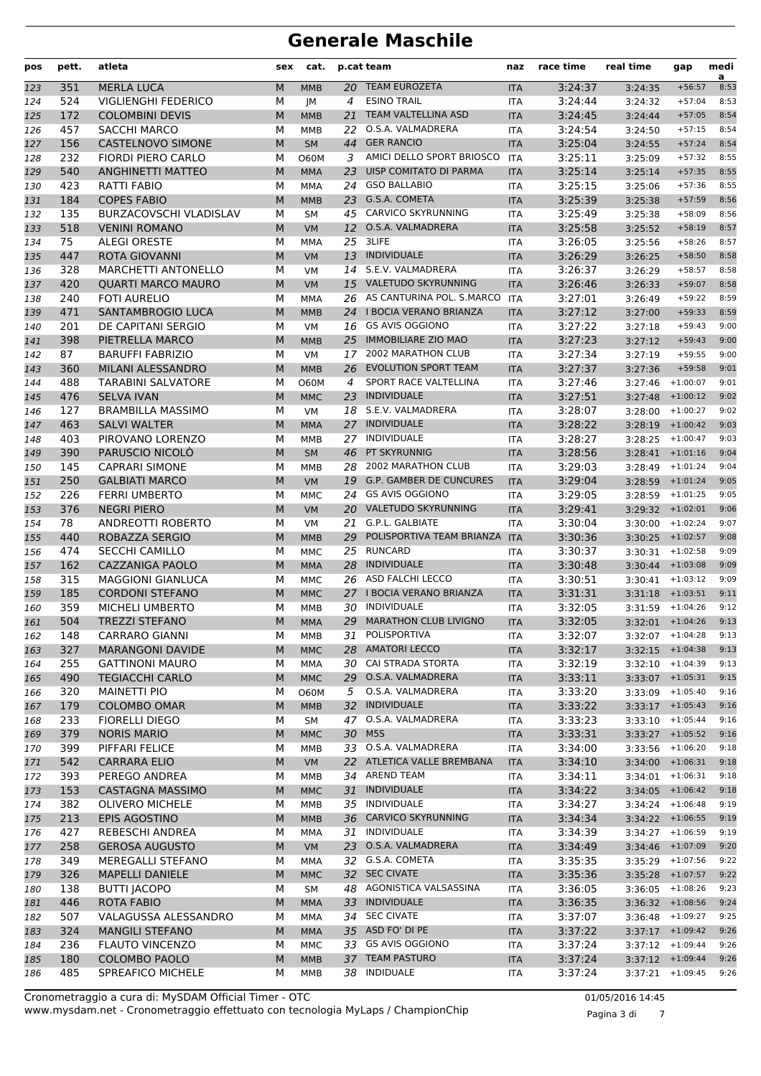| pos        | pett.      | atleta                                     | sex    | cat.                      |          | p.cat team                                       | naz                      | race time          | real time                                 | gap                  | medi<br>a    |
|------------|------------|--------------------------------------------|--------|---------------------------|----------|--------------------------------------------------|--------------------------|--------------------|-------------------------------------------|----------------------|--------------|
| 123        | 351        | <b>MERLA LUCA</b>                          | M      | <b>MMB</b>                |          | 20 TEAM EUROZETA                                 | <b>ITA</b>               | 3:24:37            | 3:24:35                                   | $+56:57$             | 8:53         |
| 124        | 524        | <b>VIGLIENGHI FEDERICO</b>                 | М      | JМ                        | 4        | <b>ESINO TRAIL</b>                               | <b>ITA</b>               | 3:24:44            | 3:24:32                                   | $+57:04$             | 8:53         |
| 125        | 172        | <b>COLOMBINI DEVIS</b>                     | M      | <b>MMB</b>                | 21       | <b>TEAM VALTELLINA ASD</b>                       | <b>ITA</b>               | 3:24:45            | 3:24:44                                   | $+57:05$             | 8:54         |
| 126        | 457        | <b>SACCHI MARCO</b>                        | М      | <b>MMB</b>                | 22       | O.S.A. VALMADRERA                                | <b>ITA</b>               | 3:24:54            | 3:24:50                                   | $+57:15$             | 8:54         |
| 127        | 156        | <b>CASTELNOVO SIMONE</b>                   | M      | <b>SM</b>                 |          | 44 GER RANCIO                                    | <b>ITA</b>               | 3:25:04            | 3:24:55                                   | $+57:24$             | 8:54         |
| 128        | 232        | FIORDI PIERO CARLO                         | М      | <b>O60M</b>               | 3        | AMICI DELLO SPORT BRIOSCO                        | <b>ITA</b>               | 3:25:11            | 3:25:09                                   | $+57:32$             | 8:55         |
| 129        | 540        | <b>ANGHINETTI MATTEO</b>                   | M      | <b>MMA</b>                | 23       | UISP COMITATO DI PARMA                           | <b>ITA</b>               | 3:25:14            | 3:25:14                                   | $+57:35$             | 8:55         |
| 130        | 423        | RATTI FABIO                                | М      | <b>MMA</b>                | 24       | <b>GSO BALLABIO</b>                              | <b>ITA</b>               | 3:25:15            | 3:25:06                                   | $+57:36$             | 8:55         |
| 131        | 184        | <b>COPES FABIO</b>                         | M      | <b>MMB</b>                | 23       | G.S.A. COMETA                                    | <b>ITA</b>               | 3:25:39            | 3:25:38                                   | $+57:59$             | 8:56         |
| 132        | 135        | <b>BURZACOVSCHI VLADISLAV</b>              | M      | <b>SM</b>                 | 45       | CARVICO SKYRUNNING                               | <b>ITA</b>               | 3:25:49            | 3:25:38                                   | $+58:09$             | 8:56         |
| 133        | 518        | <b>VENINI ROMANO</b>                       | M      | VM                        | 12       | O.S.A. VALMADRERA                                | <b>ITA</b>               | 3:25:58            | 3:25:52                                   | $+58:19$             | 8:57         |
| 134        | 75         | <b>ALEGI ORESTE</b>                        | М      | MMA                       | 25       | 3LIFE                                            | <b>ITA</b>               | 3:26:05            | 3:25:56                                   | $+58:26$             | 8:57         |
| 135        | 447        | <b>ROTA GIOVANNI</b>                       | M      | <b>VM</b>                 | 13       | <b>INDIVIDUALE</b>                               | <b>ITA</b>               | 3:26:29            | 3:26:25                                   | $+58:50$             | 8:58         |
| 136        | 328        | <b>MARCHETTI ANTONELLO</b>                 | М      | <b>VM</b>                 | 14       | S.E.V. VALMADRERA                                | <b>ITA</b>               | 3:26:37            | 3:26:29                                   | $+58:57$             | 8:58         |
| 137        | 420        | <b>QUARTI MARCO MAURO</b>                  | M      | <b>VM</b>                 | 15       | <b>VALETUDO SKYRUNNING</b>                       | <b>ITA</b>               | 3:26:46            | 3:26:33                                   | $+59:07$             | 8:58         |
| 138        | 240        | <b>FOTI AURELIO</b>                        | М      | <b>MMA</b>                |          | 26 AS CANTURINA POL. S.MARCO                     | <b>ITA</b>               | 3:27:01            | 3:26:49                                   | $+59:22$             | 8:59         |
| 139        | 471        | SANTAMBROGIO LUCA                          | M      | <b>MMB</b>                |          | 24 I BOCIA VERANO BRIANZA                        | <b>ITA</b>               | 3:27:12            | 3:27:00                                   | $+59:33$             | 8:59         |
| 140        | 201        | DE CAPITANI SERGIO                         | М      | <b>VM</b>                 |          | 16 GS AVIS OGGIONO<br><b>IMMOBILIARE ZIO MAO</b> | <b>ITA</b>               | 3:27:22            | 3:27:18                                   | $+59:43$<br>$+59:43$ | 9:00<br>9:00 |
| 141        | 398<br>87  | PIETRELLA MARCO<br><b>BARUFFI FABRIZIO</b> | M      | <b>MMB</b>                | 25<br>17 | 2002 MARATHON CLUB                               | <b>ITA</b>               | 3:27:23<br>3:27:34 | 3:27:12                                   | $+59:55$             | 9:00         |
| 142        | 360        | MILANI ALESSANDRO                          | М<br>M | <b>VM</b>                 | 26       | <b>EVOLUTION SPORT TEAM</b>                      | <b>ITA</b>               | 3:27:37            | 3:27:19                                   | $+59:58$             | 9:01         |
| 143        | 488        | <b>TARABINI SALVATORE</b>                  | М      | <b>MMB</b><br><b>O60M</b> | 4        | SPORT RACE VALTELLINA                            | <b>ITA</b><br><b>ITA</b> | 3:27:46            | 3:27:36<br>3:27:46                        | $+1:00:07$           | 9:01         |
| 144<br>145 | 476        | <b>SELVA IVAN</b>                          | M      | <b>MMC</b>                | 23       | <b>INDIVIDUALE</b>                               | <b>ITA</b>               | 3:27:51            | 3:27:48                                   | $+1:00:12$           | 9:02         |
| 146        | 127        | <b>BRAMBILLA MASSIMO</b>                   | М      | <b>VM</b>                 | 18       | S.E.V. VALMADRERA                                | <b>ITA</b>               | 3:28:07            | 3:28:00                                   | $+1:00:27$           | 9:02         |
| 147        | 463        | <b>SALVI WALTER</b>                        | M      | <b>MMA</b>                |          | 27 INDIVIDUALE                                   | <b>ITA</b>               | 3:28:22            | $3:28:19$ +1:00:42                        |                      | 9:03         |
| 148        | 403        | PIROVANO LORENZO                           | М      | <b>MMB</b>                | 27       | INDIVIDUALE                                      | <b>ITA</b>               | 3:28:27            | 3:28:25                                   | $+1:00:47$           | 9:03         |
| 149        | 390        | PARUSCIO NICOLÒ                            | M      | <b>SM</b>                 | 46       | PT SKYRUNNIG                                     | <b>ITA</b>               | 3:28:56            | $3:28:41$ +1:01:16                        |                      | 9:04         |
| 150        | 145        | <b>CAPRARI SIMONE</b>                      | М      | <b>MMB</b>                | 28       | 2002 MARATHON CLUB                               | <b>ITA</b>               | 3:29:03            | 3:28:49                                   | $+1:01:24$           | 9:04         |
| 151        | 250        | <b>GALBIATI MARCO</b>                      | M      | <b>VM</b>                 |          | 19 G.P. GAMBER DE CUNCURES                       | <b>ITA</b>               | 3:29:04            | $3:28:59$ +1:01:24                        |                      | 9:05         |
| 152        | 226        | <b>FERRI UMBERTO</b>                       | М      | MMC                       | 24       | <b>GS AVIS OGGIONO</b>                           | <b>ITA</b>               | 3:29:05            | $3:28:59$ +1:01:25                        |                      | 9:05         |
| 153        | 376        | <b>NEGRI PIERO</b>                         | M      | <b>VM</b>                 |          | 20 VALETUDO SKYRUNNING                           | <b>ITA</b>               | 3:29:41            | $3:29:32$ +1:02:01                        |                      | 9:06         |
| 154        | 78         | ANDREOTTI ROBERTO                          | М      | <b>VM</b>                 |          | 21 G.P.L. GALBIATE                               | <b>ITA</b>               | 3:30:04            | 3:30:00                                   | $+1:02:24$           | 9:07         |
| 155        | 440        | ROBAZZA SERGIO                             | M      | <b>MMB</b>                | 29       | POLISPORTIVA TEAM BRIANZA                        | <b>ITA</b>               | 3:30:36            | 3:30:25                                   | $+1:02:57$           | 9:08         |
| 156        | 474        | <b>SECCHI CAMILLO</b>                      | М      | <b>MMC</b>                | 25       | <b>RUNCARD</b>                                   | <b>ITA</b>               | 3:30:37            | 3:30:31                                   | $+1:02:58$           | 9:09         |
| 157        | 162        | CAZZANIGA PAOLO                            | M      | <b>MMA</b>                | 28       | <b>INDIVIDUALE</b>                               | <b>ITA</b>               | 3:30:48            | $3:30:44$ +1:03:08                        |                      | 9:09         |
| 158        | 315        | <b>MAGGIONI GIANLUCA</b>                   | М      | MMC                       |          | 26 ASD FALCHI LECCO                              | <b>ITA</b>               | 3:30:51            | $3:30:41$ $+1:03:12$                      |                      | 9:09         |
| 159        | 185        | <b>CORDONI STEFANO</b>                     | M      | <b>MMC</b>                |          | 27 I BOCIA VERANO BRIANZA                        | <b>ITA</b>               | 3:31:31            | $3:31:18$ +1:03:51                        |                      | 9:11         |
| 160        | 359        | <b>MICHELI UMBERTO</b>                     | М      | <b>MMB</b>                | 30       | <b>INDIVIDUALE</b>                               | <b>ITA</b>               | 3:32:05            | 3:31:59                                   | $+1:04:26$           | 9:12         |
| 161        | 504        | <b>TREZZI STEFANO</b>                      | M      | <b>MMA</b>                | 29       | <b>MARATHON CLUB LIVIGNO</b>                     | <b>ITA</b>               | 3:32:05            | $3:32:01$ +1:04:26                        |                      | 9:13         |
| 162        | 148        | <b>CARRARO GIANNI</b>                      | М      | MMB                       |          | 31 POLISPORTIVA                                  | ITA                      | 3:32:07            | $3:32:07$ +1:04:28                        |                      | 9:13         |
| 163        | 327        | <b>MARANGONI DAVIDE</b>                    | M      | <b>MMC</b>                |          | 28 AMATORI LECCO                                 | <b>ITA</b>               | 3:32:17            | $3:32:15$ +1:04:38                        |                      | 9:13         |
| 164        | 255        | <b>GATTINONI MAURO</b>                     | М      | MMA                       |          | 30 CAI STRADA STORTA                             | ITA                      | 3:32:19            | $3:32:10 + 1:04:39$                       |                      | 9:13         |
| 165        | 490        | <b>TEGIACCHI CARLO</b>                     | M      | <b>MMC</b>                |          | 29 O.S.A. VALMADRERA                             | <b>ITA</b>               | 3:33:11            | $3:33:07$ +1:05:31                        |                      | 9:15         |
| 166        | 320        | <b>MAINETTI PIO</b>                        | М      | <b>O60M</b>               | 5        | O.S.A. VALMADRERA                                | ITA                      | 3:33:20            | 3:33:09                                   | $+1:05:40$           | 9:16         |
| 167        | 179        | <b>COLOMBO OMAR</b>                        | M      | <b>MMB</b>                | 32       | <b>INDIVIDUALE</b>                               | <b>ITA</b>               | 3:33:22            | $3:33:17$ +1:05:43                        |                      | 9:16         |
| 168        | 233        | FIORELLI DIEGO                             | М      | SM                        |          | 47 O.S.A. VALMADRERA                             | ITA                      | 3:33:23            | $3:33:10 + 1:05:44$                       |                      | 9:16         |
| 169        | 379        | <b>NORIS MARIO</b>                         | M      | <b>MMC</b>                |          | 30 M5S<br>33 O.S.A. VALMADRERA                   | <b>ITA</b>               | 3:33:31            | $3:33:27 + 1:05:52$                       |                      | 9:16         |
| 170        | 399        | PIFFARI FELICE                             | М      | MMB                       |          | 22 ATLETICA VALLE BREMBANA                       | <b>ITA</b>               | 3:34:00            | $3:33:56$ +1:06:20                        |                      | 9:18         |
| 171        | 542<br>393 | <b>CARRARA ELIO</b><br>PEREGO ANDREA       | M      | VM<br>MMB                 |          | 34 AREND TEAM                                    | <b>ITA</b>               | 3:34:10<br>3:34:11 | $3:34:00 + 1:06:31$<br>$3:34:01$ +1:06:31 |                      | 9:18<br>9:18 |
| 172        | 153        | <b>CASTAGNA MASSIMO</b>                    | М<br>M | <b>MMC</b>                | 31       | <b>INDIVIDUALE</b>                               | ITA                      | 3:34:22            | $3:34:05$ +1:06:42                        |                      | 9:18         |
| 173<br>174 | 382        | <b>OLIVERO MICHELE</b>                     | М      | MMB                       |          | 35 INDIVIDUALE                                   | <b>ITA</b><br>ITA        | 3:34:27            | $3:34:24$ +1:06:48                        |                      | 9:19         |
| 175        | 213        | EPIS AGOSTINO                              | M      | <b>MMB</b>                |          | 36 CARVICO SKYRUNNING                            | <b>ITA</b>               | 3:34:34            | $3:34:22$ +1:06:55                        |                      | 9:19         |
| 176        | 427        | REBESCHI ANDREA                            | М      | MMA                       | 31       | INDIVIDUALE                                      | ITA                      | 3:34:39            | $3:34:27$ +1:06:59                        |                      | 9:19         |
| 177        | 258        | <b>GEROSA AUGUSTO</b>                      | M      | VM                        |          | 23 O.S.A. VALMADRERA                             | <b>ITA</b>               | 3:34:49            | $3:34:46$ +1:07:09                        |                      | 9:20         |
| 178        | 349        | MEREGALLI STEFANO                          | М      | MMA                       |          | 32 G.S.A. COMETA                                 | ITA                      | 3:35:35            | 3:35:29                                   | $+1:07:56$           | 9:22         |
| 179        | 326        | <b>MAPELLI DANIELE</b>                     | M      | <b>MMC</b>                |          | 32 SEC CIVATE                                    | <b>ITA</b>               | 3:35:36            | $3:35:28$ +1:07:57                        |                      | 9:22         |
| 180        | 138        | <b>BUTTI JACOPO</b>                        | М      | SM                        |          | 48 AGONISTICA VALSASSINA                         | ITA                      | 3:36:05            | $3:36:05$ +1:08:26                        |                      | 9:23         |
| 181        | 446        | ROTA FABIO                                 | M      | <b>MMA</b>                |          | 33 INDIVIDUALE                                   | <b>ITA</b>               | 3:36:35            | $3:36:32$ +1:08:56                        |                      | 9:24         |
| 182        | 507        | VALAGUSSA ALESSANDRO                       | М      | MMA                       |          | 34 SEC CIVATE                                    | ITA                      | 3:37:07            | $3:36:48$ +1:09:27                        |                      | 9:25         |
| 183        | 324        | <b>MANGILI STEFANO</b>                     | M      | <b>MMA</b>                |          | 35 ASD FO' DI PE                                 | <b>ITA</b>               | 3:37:22            | $3:37:17$ +1:09:42                        |                      | 9:26         |
| 184        | 236        | <b>FLAUTO VINCENZO</b>                     | М      | <b>MMC</b>                |          | 33 GS AVIS OGGIONO                               | <b>ITA</b>               | 3:37:24            | $3:37:12$ +1:09:44                        |                      | 9:26         |
| 185        | 180        | <b>COLOMBO PAOLO</b>                       | M      | <b>MMB</b>                | 37       | <b>TEAM PASTURO</b>                              | <b>ITA</b>               | 3:37:24            | $3:37:12$ +1:09:44                        |                      | 9:26         |
| 186        | 485        | SPREAFICO MICHELE                          | М      | MMB                       | 38       | <b>INDIDUALE</b>                                 | ITA                      | 3:37:24            | $3:37:21 + 1:09:45$                       |                      | 9:26         |

Pagina 3 di 7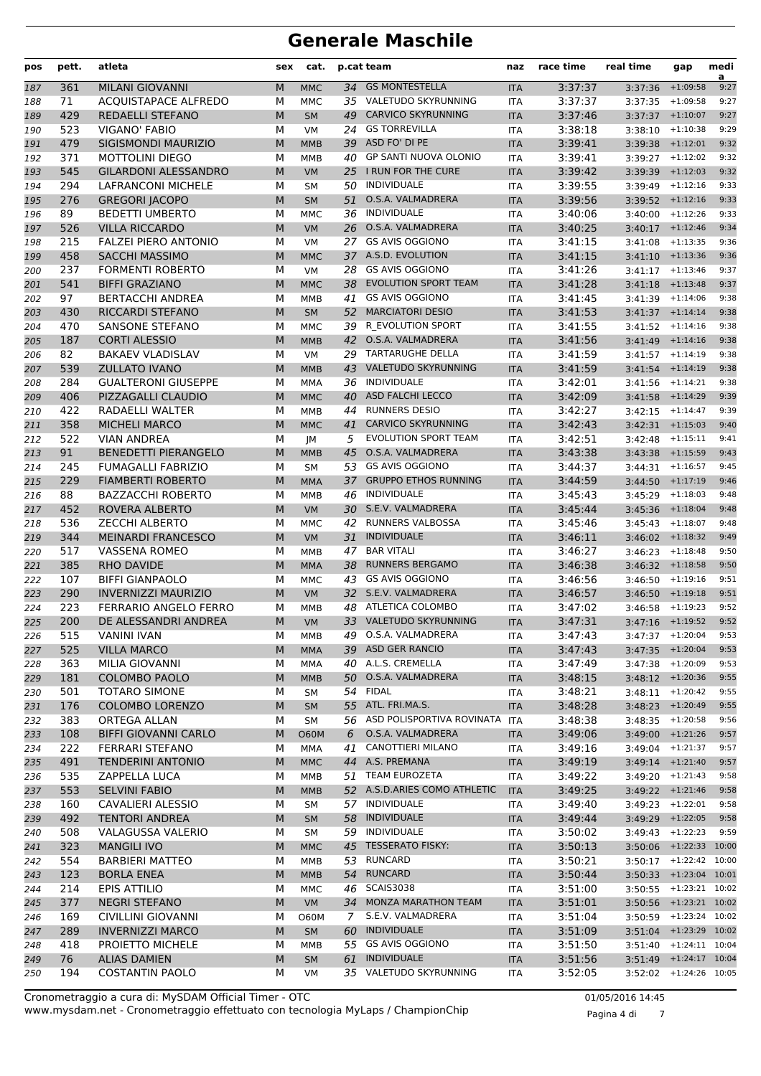| 34 GS MONTESTELLA<br>361<br><b>MILANI GIOVANNI</b><br>M<br>3:37:37<br>$+1:09:58$<br>9:27<br><b>MMC</b><br><b>ITA</b><br>3:37:36<br>187<br>35 VALETUDO SKYRUNNING<br>71<br><b>ACOUISTAPACE ALFREDO</b><br>3:37:37<br>М<br>$+1:09:58$<br>9:27<br>MMC<br><b>ITA</b><br>3:37:35<br>188<br>429<br>M<br><b>CARVICO SKYRUNNING</b><br>3:37:46<br>REDAELLI STEFANO<br><b>SM</b><br>49<br>$+1:10:07$<br>9:27<br>189<br><b>ITA</b><br>3:37:37<br><b>GS TORREVILLA</b><br>523<br><b>VIGANO' FABIO</b><br>3:38:18<br>$+1:10:38$<br>9:29<br>190<br>М<br>VM<br>24<br><b>ITA</b><br>3:38:10<br>ASD FO' DI PE<br>479<br><b>SIGISMONDI MAURIZIO</b><br>3:39:41<br>9:32<br>M<br><b>MMB</b><br>39<br><b>ITA</b><br>191<br>$3:39:38$ +1:12:01<br>371<br>40 GP SANTI NUOVA OLONIO<br>3:39:41<br>9:32<br><b>MOTTOLINI DIEGO</b><br>М<br><b>ITA</b><br>$3:39:27$ +1:12:02<br>192<br>MMB<br>25 I RUN FOR THE CURE<br>545<br><b>GILARDONI ALESSANDRO</b><br>M<br>3:39:42<br>$+1:12:03$<br>9:32<br>193<br><b>VM</b><br><b>ITA</b><br>3:39:39<br>50 INDIVIDUALE<br>294<br><b>LAFRANCONI MICHELE</b><br>3:39:55<br>9:33<br>М<br><b>SM</b><br><b>ITA</b><br>3:39:49<br>$+1:12:16$<br>194<br>O.S.A. VALMADRERA<br>276<br><b>GREGORI JACOPO</b><br>M<br>3:39:56<br>51<br><b>ITA</b><br>$3:39:52$ +1:12:16<br>9:33<br>195<br><b>SM</b><br><b>INDIVIDUALE</b><br>89<br><b>BEDETTI UMBERTO</b><br>3:40:06<br>$+1:12:26$<br>9:33<br>M<br><b>MMC</b><br>36<br><b>ITA</b><br>3:40:00<br>196<br>O.S.A. VALMADRERA<br>526<br><b>VILLA RICCARDO</b><br>M<br>26<br>3:40:25<br>9:34<br><b>VM</b><br><b>ITA</b><br>$3:40:17$ +1:12:46<br>197<br><b>FALZEI PIERO ANTONIO</b><br><b>GS AVIS OGGIONO</b><br>3:41:15<br>9:36<br>215<br>М<br><b>VM</b><br>27<br><b>ITA</b><br>$+1:13:35$<br>198<br>3:41:08<br>37 A.S.D. EVOLUTION<br>458<br><b>SACCHI MASSIMO</b><br>3:41:15<br>$+1:13:36$<br>9:36<br>M<br><b>MMC</b><br><b>ITA</b><br>3:41:10<br>199<br><b>FORMENTI ROBERTO</b><br>237<br>28<br><b>GS AVIS OGGIONO</b><br>3:41:26<br>9:37<br>М<br><b>VM</b><br><b>ITA</b><br>$+1:13:46$<br>200<br>3:41:17<br>541<br><b>BIFFI GRAZIANO</b><br><b>EVOLUTION SPORT TEAM</b><br>3:41:28<br>M<br>38<br>9:37<br><b>MMC</b><br>$+1:13:48$<br>201<br><b>ITA</b><br>3:41:18<br><b>GS AVIS OGGIONO</b><br>97<br><b>BERTACCHI ANDREA</b><br>3:41:45<br>$+1:14:06$<br>9:38<br>202<br>M<br>41<br>3:41:39<br><b>MMB</b><br><b>ITA</b><br>430<br><b>RICCARDI STEFANO</b><br>M<br><b>MARCIATORI DESIO</b><br>3:41:53<br><b>SM</b><br>52<br><b>ITA</b><br>9:38<br>203<br>$3:41:37$ +1:14:14<br><b>SANSONE STEFANO</b><br>39 R EVOLUTION SPORT<br>9:38<br>470<br>М<br>3:41:55<br>204<br><b>MMC</b><br><b>ITA</b><br>$3:41:52$ +1:14:16<br>42 O.S.A. VALMADRERA<br>187<br><b>CORTI ALESSIO</b><br>M<br>3:41:56<br>$+1:14:16$<br>9:38<br><b>MMB</b><br><b>ITA</b><br>3:41:49<br>205<br>82<br><b>BAKAEV VLADISLAV</b><br>29 TARTARUGHE DELLA<br>3:41:59<br>9:38<br>М<br><b>VM</b><br><b>ITA</b><br>206<br>3:41:57<br>$+1:14:19$<br>539<br><b>ZULLATO IVANO</b><br><b>VALETUDO SKYRUNNING</b><br>3:41:59<br>M<br>43<br>$+1:14:19$<br>9:38<br><b>MMB</b><br><b>ITA</b><br>207<br>3:41:54<br><b>INDIVIDUALE</b><br>284<br><b>GUALTERONI GIUSEPPE</b><br>3:42:01<br>$+1:14:21$<br>9:38<br>208<br>M<br>36<br>3:41:56<br>MMA<br><b>ITA</b><br>406<br>PIZZAGALLI CLAUDIO<br><b>ASD FALCHI LECCO</b><br>3:42:09<br>9:39<br>M<br><b>MMC</b><br>40<br><b>ITA</b><br>3:41:58<br>$+1:14:29$<br>209<br>422<br><b>RUNNERS DESIO</b><br>3:42:27<br>9:39<br>RADAELLI WALTER<br>М<br>44<br>210<br><b>MMB</b><br><b>ITA</b><br>3:42:15<br>$+1:14:47$<br><b>CARVICO SKYRUNNING</b><br>358<br><b>MICHELI MARCO</b><br>41<br>3:42:43<br>$3:42:31$ +1:15:03<br>9:40<br>M<br><b>MMC</b><br><b>ITA</b><br>211<br>522<br><b>VIAN ANDREA</b><br><b>EVOLUTION SPORT TEAM</b><br>3:42:51<br>212<br>М<br>5<br><b>ITA</b><br>$+1:15:11$<br>9:41<br>JМ<br>3:42:48<br>91<br><b>BENEDETTI PIERANGELO</b><br>45<br>O.S.A. VALMADRERA<br>3:43:38<br>M<br>9:43<br><b>MMB</b><br>3:43:38<br>$+1:15:59$<br>213<br><b>ITA</b><br><b>GS AVIS OGGIONO</b><br>245<br><b>FUMAGALLI FABRIZIO</b><br>3:44:37<br>$+1:16:57$<br>9:45<br>214<br>М<br>53<br>3:44:31<br><b>SM</b><br><b>ITA</b><br>229<br><b>FIAMBERTI ROBERTO</b><br><b>GRUPPO ETHOS RUNNING</b><br>3:44:59<br>215<br>M<br><b>MMA</b><br>37<br><b>ITA</b><br>9:46<br>3:44:50<br>$+1:17:19$<br>88<br>46 INDIVIDUALE<br>9:48<br><b>BAZZACCHI ROBERTO</b><br>М<br>3:45:43<br><b>MMB</b><br><b>ITA</b><br>3:45:29<br>$+1:18:03$<br>216<br>30 S.E.V. VALMADRERA<br>452<br>ROVERA ALBERTO<br><b>VM</b><br>3:45:44<br>$+1:18:04$<br>9:48<br>217<br>M<br><b>ITA</b><br>3:45:36<br>536<br><b>ZECCHI ALBERTO</b><br>42 RUNNERS VALBOSSA<br>3:45:46<br>М<br><b>ITA</b><br>9:48<br>218<br>MMC<br>3:45:43<br>$+1:18:07$<br><b>INDIVIDUALE</b><br><b>MEINARDI FRANCESCO</b><br>M<br>3:46:11<br>344<br><b>VM</b><br>31<br>9:49<br><b>ITA</b><br>$3:46:02$ +1:18:32<br>219<br><b>BAR VITALI</b><br>517<br><b>VASSENA ROMEO</b><br>47<br>3:46:27<br>220<br>M<br><b>MMB</b><br>3:46:23<br>$+1:18:48$<br>9:50<br><b>ITA</b><br>385<br><b>RHO DAVIDE</b><br><b>RUNNERS BERGAMO</b><br>3:46:38<br>9:50<br>M<br><b>MMA</b><br>38<br><b>ITA</b><br>$3:46:32$ +1:18:58<br>221<br><b>BIFFI GIANPAOLO</b><br><b>GS AVIS OGGIONO</b><br>107<br>М<br>43<br>3:46:56<br>9:51<br>222<br><b>MMC</b><br><b>ITA</b><br>3:46:50<br>$+1:19:16$<br>32 S.E.V. VALMADRERA<br>290<br><b>INVERNIZZI MAURIZIO</b><br>223<br>M<br><b>VM</b><br><b>ITA</b><br>3:46:57<br>$3:46:50$ +1:19:18<br>9:51<br>223<br>ATLETICA COLOMBO<br>3:47:02<br>224<br><b>FERRARIO ANGELO FERRO</b><br>М<br>48<br><b>ITA</b><br>9:52<br><b>MMB</b><br>3:46:58<br>$+1:19:23$<br>33 VALETUDO SKYRUNNING<br>200<br>DE ALESSANDRI ANDREA<br>$3:47:16$ +1:19:52<br>9:52<br>225<br>M<br><b>VM</b><br>3:47:31<br><b>ITA</b><br>49 O.S.A. VALMADRERA<br><b>VANINI IVAN</b><br>3:47:43<br>515<br>$3:47:37$ +1:20:04<br>М<br>MMB<br>ITA<br>9:53<br>226<br><b>VILLA MARCO</b><br>39 ASD GER RANCIO<br>525<br>M<br><b>MMA</b><br>3:47:43<br>$3:47:35$ +1:20:04<br>9:53<br>227<br><b>ITA</b><br>40 A.L.S. CREMELLA<br>$3:47:38$ +1:20:09<br>9:53<br>363<br>MILIA GIOVANNI<br>М<br>3:47:49<br>228<br>MMA<br>ITA<br>181<br>50 O.S.A. VALMADRERA<br><b>COLOMBO PAOLO</b><br>M<br><b>MMB</b><br>3:48:15<br>$3:48:12 + 1:20:36$<br>9:55<br>229<br><b>ITA</b><br>54 FIDAL<br>501<br><b>TOTARO SIMONE</b><br>3:48:21<br>$3:48:11 + 1:20:42$<br>9:55<br>230<br>м<br>SM<br>ITA<br>55 ATL. FRI.MA.S.<br>176<br><b>COLOMBO LORENZO</b><br>М<br>3:48:28<br>$3:48:23$ +1:20:49<br>9:55<br>231<br><b>SM</b><br><b>ITA</b><br>56 ASD POLISPORTIVA ROVINATA<br>383<br>ORTEGA ALLAN<br><b>ITA</b><br>3:48:38<br>$3:48:35$ +1:20:58<br>232<br>М<br>9:56<br>SΜ<br>O.S.A. VALMADRERA<br>108<br><b>BIFFI GIOVANNI CARLO</b><br>M<br><b>O60M</b><br>3:49:06<br>$3:49:00$ +1:21:26<br>9:57<br>233<br>6<br><b>ITA</b><br><b>CANOTTIERI MILANO</b><br>$3:49:04$ +1:21:37<br>9:57<br>222<br>FERRARI STEFANO<br>41<br>3:49:16<br>234<br>М<br>MMA<br>ITA<br>44 A.S. PREMANA<br>491<br>235<br><b>TENDERINI ANTONIO</b><br>M<br><b>MMC</b><br><b>ITA</b><br>3:49:19<br>$3:49:14$ +1:21:40<br>9:57<br>535<br>51 TEAM EUROZETA<br>ZAPPELLA LUCA<br>3:49:22<br>$3:49:20 + 1:21:43$<br>9:58<br>236<br>М<br>MMB<br>ITA<br>52 A.S.D.ARIES COMO ATHLETIC<br>553<br><b>SELVINI FABIO</b><br>M<br><b>MMB</b><br><b>ITA</b><br>3:49:25<br>$3:49:22 + 1:21:46$<br>9:58<br>237<br>160<br>57 INDIVIDUALE<br>CAVALIERI ALESSIO<br>3:49:40<br>3:49:23<br>$+1:22:01$<br>9:58<br>238<br>М<br>SΜ<br>ITA<br>58 INDIVIDUALE<br>492<br><b>TENTORI ANDREA</b><br>M<br>3:49:44<br>$3:49:29$ +1:22:05<br>9:58<br><b>SM</b><br>239<br><b>ITA</b><br>59 INDIVIDUALE<br>$3:49:43$ +1:22:23<br>9:59<br>508<br>VALAGUSSA VALERIO<br>М<br>3:50:02<br>240<br>SM<br>ITA<br>323<br>45 TESSERATO FISKY:<br>3:50:13<br><b>MANGILI IVO</b><br>M<br><b>MMC</b><br>3:50:06 +1:22:33 10:00<br>241<br><b>ITA</b><br>554<br>53 RUNCARD<br><b>BARBIERI MATTEO</b><br>3:50:21<br>$3:50:17$ +1:22:42 10:00<br>М<br>MMB<br>242<br>ITA<br><b>RUNCARD</b><br>123<br>3:50:33 +1:23:04 10:01<br><b>BORLA ENEA</b><br><b>MMB</b><br>54<br>3:50:44<br>243<br>M<br><b>ITA</b><br>214<br>46 SCAIS3038<br>$3:50:55$ +1:23:21 10:02<br>EPIS ATTILIO<br>3:51:00<br>244<br>М<br>MMC<br>ITA<br>34 MONZA MARATHON TEAM<br>377<br><b>NEGRI STEFANO</b><br>M<br>3:51:01<br>3:50:56 +1:23:21 10:02<br>VM<br><b>ITA</b><br>245<br>S.E.V. VALMADRERA<br><b>CIVILLINI GIOVANNI</b><br>$3:50:59$ +1:23:24 10:02<br>169<br><b>O60M</b><br>7 <sup>7</sup><br><b>ITA</b><br>3:51:04<br>М<br>246<br><b>INVERNIZZI MARCO</b><br>60 INDIVIDUALE<br>3:51:09<br>3:51:04 +1:23:29 10:02<br>289<br>M<br>SM<br>247<br><b>ITA</b><br>55 GS AVIS OGGIONO<br>418<br>PROIETTO MICHELE<br>3:51:50<br>$3:51:40$ $+1:24:11$ $10:04$<br>М<br><b>MMB</b><br><b>ITA</b><br>248<br><b>INDIVIDUALE</b><br>76<br><b>ALIAS DAMIEN</b><br>3:51:49 +1:24:17 10:04<br>M<br><b>SM</b><br>61<br>3:51:56<br>249<br><b>ITA</b><br>35 VALETUDO SKYRUNNING<br>194<br><b>COSTANTIN PAOLO</b><br>3:52:05<br>$3:52:02$ +1:24:26 10:05<br>М<br>250<br>VM<br>ITA | pos | pett. | atleta | sex | cat. | p.cat team | naz | race time | real time | gap | medi<br>a |
|------------------------------------------------------------------------------------------------------------------------------------------------------------------------------------------------------------------------------------------------------------------------------------------------------------------------------------------------------------------------------------------------------------------------------------------------------------------------------------------------------------------------------------------------------------------------------------------------------------------------------------------------------------------------------------------------------------------------------------------------------------------------------------------------------------------------------------------------------------------------------------------------------------------------------------------------------------------------------------------------------------------------------------------------------------------------------------------------------------------------------------------------------------------------------------------------------------------------------------------------------------------------------------------------------------------------------------------------------------------------------------------------------------------------------------------------------------------------------------------------------------------------------------------------------------------------------------------------------------------------------------------------------------------------------------------------------------------------------------------------------------------------------------------------------------------------------------------------------------------------------------------------------------------------------------------------------------------------------------------------------------------------------------------------------------------------------------------------------------------------------------------------------------------------------------------------------------------------------------------------------------------------------------------------------------------------------------------------------------------------------------------------------------------------------------------------------------------------------------------------------------------------------------------------------------------------------------------------------------------------------------------------------------------------------------------------------------------------------------------------------------------------------------------------------------------------------------------------------------------------------------------------------------------------------------------------------------------------------------------------------------------------------------------------------------------------------------------------------------------------------------------------------------------------------------------------------------------------------------------------------------------------------------------------------------------------------------------------------------------------------------------------------------------------------------------------------------------------------------------------------------------------------------------------------------------------------------------------------------------------------------------------------------------------------------------------------------------------------------------------------------------------------------------------------------------------------------------------------------------------------------------------------------------------------------------------------------------------------------------------------------------------------------------------------------------------------------------------------------------------------------------------------------------------------------------------------------------------------------------------------------------------------------------------------------------------------------------------------------------------------------------------------------------------------------------------------------------------------------------------------------------------------------------------------------------------------------------------------------------------------------------------------------------------------------------------------------------------------------------------------------------------------------------------------------------------------------------------------------------------------------------------------------------------------------------------------------------------------------------------------------------------------------------------------------------------------------------------------------------------------------------------------------------------------------------------------------------------------------------------------------------------------------------------------------------------------------------------------------------------------------------------------------------------------------------------------------------------------------------------------------------------------------------------------------------------------------------------------------------------------------------------------------------------------------------------------------------------------------------------------------------------------------------------------------------------------------------------------------------------------------------------------------------------------------------------------------------------------------------------------------------------------------------------------------------------------------------------------------------------------------------------------------------------------------------------------------------------------------------------------------------------------------------------------------------------------------------------------------------------------------------------------------------------------------------------------------------------------------------------------------------------------------------------------------------------------------------------------------------------------------------------------------------------------------------------------------------------------------------------------------------------------------------------------------------------------------------------------------------------------------------------------------------------------------------------------------------------------------------------------------------------------------------------------------------------------------------------------------------------------------------------------------------------------------------------------------------------------------------------------------------------------------------------------------------------------------------------------------------------------------------------------------------------------------------------------------------------------------------------------------------------------------------------------------------------------------------------------------------------------------------------------------------------------------------------------------------------------------------------------------------------------------------------------------------------------------------------------------------------------------------------------------------------------------------------------------------------------------------------------------------------------------------------------------------------------------------------------------------------------------------------------------------------------------------------------------------------------------------------------------------------------------------------------------------------------------------------------------------------------------------------------------------------------------------------------------------------------------------------------------------------------------------------------------------------------------------------------------------------------------------------------------------------------------------------------------------------------------------------------------------------------------------------------------------------------------------------------------------------------------------------------------------------------------------------------------------------------------------------------------------------------------------------------------------------------------------|-----|-------|--------|-----|------|------------|-----|-----------|-----------|-----|-----------|
|                                                                                                                                                                                                                                                                                                                                                                                                                                                                                                                                                                                                                                                                                                                                                                                                                                                                                                                                                                                                                                                                                                                                                                                                                                                                                                                                                                                                                                                                                                                                                                                                                                                                                                                                                                                                                                                                                                                                                                                                                                                                                                                                                                                                                                                                                                                                                                                                                                                                                                                                                                                                                                                                                                                                                                                                                                                                                                                                                                                                                                                                                                                                                                                                                                                                                                                                                                                                                                                                                                                                                                                                                                                                                                                                                                                                                                                                                                                                                                                                                                                                                                                                                                                                                                                                                                                                                                                                                                                                                                                                                                                                                                                                                                                                                                                                                                                                                                                                                                                                                                                                                                                                                                                                                                                                                                                                                                                                                                                                                                                                                                                                                                                                                                                                                                                                                                                                                                                                                                                                                                                                                                                                                                                                                                                                                                                                                                                                                                                                                                                                                                                                                                                                                                                                                                                                                                                                                                                                                                                                                                                                                                                                                                                                                                                                                                                                                                                                                                                                                                                                                                                                                                                                                                                                                                                                                                                                                                                                                                                                                                                                                                                                                                                                                                                                                                                                                                                                                                                                                                                                                                                                                                                                                                                                                                                                                                                                                                                                                                                                                                                                                          |     |       |        |     |      |            |     |           |           |     |           |
|                                                                                                                                                                                                                                                                                                                                                                                                                                                                                                                                                                                                                                                                                                                                                                                                                                                                                                                                                                                                                                                                                                                                                                                                                                                                                                                                                                                                                                                                                                                                                                                                                                                                                                                                                                                                                                                                                                                                                                                                                                                                                                                                                                                                                                                                                                                                                                                                                                                                                                                                                                                                                                                                                                                                                                                                                                                                                                                                                                                                                                                                                                                                                                                                                                                                                                                                                                                                                                                                                                                                                                                                                                                                                                                                                                                                                                                                                                                                                                                                                                                                                                                                                                                                                                                                                                                                                                                                                                                                                                                                                                                                                                                                                                                                                                                                                                                                                                                                                                                                                                                                                                                                                                                                                                                                                                                                                                                                                                                                                                                                                                                                                                                                                                                                                                                                                                                                                                                                                                                                                                                                                                                                                                                                                                                                                                                                                                                                                                                                                                                                                                                                                                                                                                                                                                                                                                                                                                                                                                                                                                                                                                                                                                                                                                                                                                                                                                                                                                                                                                                                                                                                                                                                                                                                                                                                                                                                                                                                                                                                                                                                                                                                                                                                                                                                                                                                                                                                                                                                                                                                                                                                                                                                                                                                                                                                                                                                                                                                                                                                                                                                                          |     |       |        |     |      |            |     |           |           |     |           |
|                                                                                                                                                                                                                                                                                                                                                                                                                                                                                                                                                                                                                                                                                                                                                                                                                                                                                                                                                                                                                                                                                                                                                                                                                                                                                                                                                                                                                                                                                                                                                                                                                                                                                                                                                                                                                                                                                                                                                                                                                                                                                                                                                                                                                                                                                                                                                                                                                                                                                                                                                                                                                                                                                                                                                                                                                                                                                                                                                                                                                                                                                                                                                                                                                                                                                                                                                                                                                                                                                                                                                                                                                                                                                                                                                                                                                                                                                                                                                                                                                                                                                                                                                                                                                                                                                                                                                                                                                                                                                                                                                                                                                                                                                                                                                                                                                                                                                                                                                                                                                                                                                                                                                                                                                                                                                                                                                                                                                                                                                                                                                                                                                                                                                                                                                                                                                                                                                                                                                                                                                                                                                                                                                                                                                                                                                                                                                                                                                                                                                                                                                                                                                                                                                                                                                                                                                                                                                                                                                                                                                                                                                                                                                                                                                                                                                                                                                                                                                                                                                                                                                                                                                                                                                                                                                                                                                                                                                                                                                                                                                                                                                                                                                                                                                                                                                                                                                                                                                                                                                                                                                                                                                                                                                                                                                                                                                                                                                                                                                                                                                                                                                          |     |       |        |     |      |            |     |           |           |     |           |
|                                                                                                                                                                                                                                                                                                                                                                                                                                                                                                                                                                                                                                                                                                                                                                                                                                                                                                                                                                                                                                                                                                                                                                                                                                                                                                                                                                                                                                                                                                                                                                                                                                                                                                                                                                                                                                                                                                                                                                                                                                                                                                                                                                                                                                                                                                                                                                                                                                                                                                                                                                                                                                                                                                                                                                                                                                                                                                                                                                                                                                                                                                                                                                                                                                                                                                                                                                                                                                                                                                                                                                                                                                                                                                                                                                                                                                                                                                                                                                                                                                                                                                                                                                                                                                                                                                                                                                                                                                                                                                                                                                                                                                                                                                                                                                                                                                                                                                                                                                                                                                                                                                                                                                                                                                                                                                                                                                                                                                                                                                                                                                                                                                                                                                                                                                                                                                                                                                                                                                                                                                                                                                                                                                                                                                                                                                                                                                                                                                                                                                                                                                                                                                                                                                                                                                                                                                                                                                                                                                                                                                                                                                                                                                                                                                                                                                                                                                                                                                                                                                                                                                                                                                                                                                                                                                                                                                                                                                                                                                                                                                                                                                                                                                                                                                                                                                                                                                                                                                                                                                                                                                                                                                                                                                                                                                                                                                                                                                                                                                                                                                                                                          |     |       |        |     |      |            |     |           |           |     |           |
|                                                                                                                                                                                                                                                                                                                                                                                                                                                                                                                                                                                                                                                                                                                                                                                                                                                                                                                                                                                                                                                                                                                                                                                                                                                                                                                                                                                                                                                                                                                                                                                                                                                                                                                                                                                                                                                                                                                                                                                                                                                                                                                                                                                                                                                                                                                                                                                                                                                                                                                                                                                                                                                                                                                                                                                                                                                                                                                                                                                                                                                                                                                                                                                                                                                                                                                                                                                                                                                                                                                                                                                                                                                                                                                                                                                                                                                                                                                                                                                                                                                                                                                                                                                                                                                                                                                                                                                                                                                                                                                                                                                                                                                                                                                                                                                                                                                                                                                                                                                                                                                                                                                                                                                                                                                                                                                                                                                                                                                                                                                                                                                                                                                                                                                                                                                                                                                                                                                                                                                                                                                                                                                                                                                                                                                                                                                                                                                                                                                                                                                                                                                                                                                                                                                                                                                                                                                                                                                                                                                                                                                                                                                                                                                                                                                                                                                                                                                                                                                                                                                                                                                                                                                                                                                                                                                                                                                                                                                                                                                                                                                                                                                                                                                                                                                                                                                                                                                                                                                                                                                                                                                                                                                                                                                                                                                                                                                                                                                                                                                                                                                                                          |     |       |        |     |      |            |     |           |           |     |           |
|                                                                                                                                                                                                                                                                                                                                                                                                                                                                                                                                                                                                                                                                                                                                                                                                                                                                                                                                                                                                                                                                                                                                                                                                                                                                                                                                                                                                                                                                                                                                                                                                                                                                                                                                                                                                                                                                                                                                                                                                                                                                                                                                                                                                                                                                                                                                                                                                                                                                                                                                                                                                                                                                                                                                                                                                                                                                                                                                                                                                                                                                                                                                                                                                                                                                                                                                                                                                                                                                                                                                                                                                                                                                                                                                                                                                                                                                                                                                                                                                                                                                                                                                                                                                                                                                                                                                                                                                                                                                                                                                                                                                                                                                                                                                                                                                                                                                                                                                                                                                                                                                                                                                                                                                                                                                                                                                                                                                                                                                                                                                                                                                                                                                                                                                                                                                                                                                                                                                                                                                                                                                                                                                                                                                                                                                                                                                                                                                                                                                                                                                                                                                                                                                                                                                                                                                                                                                                                                                                                                                                                                                                                                                                                                                                                                                                                                                                                                                                                                                                                                                                                                                                                                                                                                                                                                                                                                                                                                                                                                                                                                                                                                                                                                                                                                                                                                                                                                                                                                                                                                                                                                                                                                                                                                                                                                                                                                                                                                                                                                                                                                                                          |     |       |        |     |      |            |     |           |           |     |           |
|                                                                                                                                                                                                                                                                                                                                                                                                                                                                                                                                                                                                                                                                                                                                                                                                                                                                                                                                                                                                                                                                                                                                                                                                                                                                                                                                                                                                                                                                                                                                                                                                                                                                                                                                                                                                                                                                                                                                                                                                                                                                                                                                                                                                                                                                                                                                                                                                                                                                                                                                                                                                                                                                                                                                                                                                                                                                                                                                                                                                                                                                                                                                                                                                                                                                                                                                                                                                                                                                                                                                                                                                                                                                                                                                                                                                                                                                                                                                                                                                                                                                                                                                                                                                                                                                                                                                                                                                                                                                                                                                                                                                                                                                                                                                                                                                                                                                                                                                                                                                                                                                                                                                                                                                                                                                                                                                                                                                                                                                                                                                                                                                                                                                                                                                                                                                                                                                                                                                                                                                                                                                                                                                                                                                                                                                                                                                                                                                                                                                                                                                                                                                                                                                                                                                                                                                                                                                                                                                                                                                                                                                                                                                                                                                                                                                                                                                                                                                                                                                                                                                                                                                                                                                                                                                                                                                                                                                                                                                                                                                                                                                                                                                                                                                                                                                                                                                                                                                                                                                                                                                                                                                                                                                                                                                                                                                                                                                                                                                                                                                                                                                                          |     |       |        |     |      |            |     |           |           |     |           |
|                                                                                                                                                                                                                                                                                                                                                                                                                                                                                                                                                                                                                                                                                                                                                                                                                                                                                                                                                                                                                                                                                                                                                                                                                                                                                                                                                                                                                                                                                                                                                                                                                                                                                                                                                                                                                                                                                                                                                                                                                                                                                                                                                                                                                                                                                                                                                                                                                                                                                                                                                                                                                                                                                                                                                                                                                                                                                                                                                                                                                                                                                                                                                                                                                                                                                                                                                                                                                                                                                                                                                                                                                                                                                                                                                                                                                                                                                                                                                                                                                                                                                                                                                                                                                                                                                                                                                                                                                                                                                                                                                                                                                                                                                                                                                                                                                                                                                                                                                                                                                                                                                                                                                                                                                                                                                                                                                                                                                                                                                                                                                                                                                                                                                                                                                                                                                                                                                                                                                                                                                                                                                                                                                                                                                                                                                                                                                                                                                                                                                                                                                                                                                                                                                                                                                                                                                                                                                                                                                                                                                                                                                                                                                                                                                                                                                                                                                                                                                                                                                                                                                                                                                                                                                                                                                                                                                                                                                                                                                                                                                                                                                                                                                                                                                                                                                                                                                                                                                                                                                                                                                                                                                                                                                                                                                                                                                                                                                                                                                                                                                                                                                          |     |       |        |     |      |            |     |           |           |     |           |
|                                                                                                                                                                                                                                                                                                                                                                                                                                                                                                                                                                                                                                                                                                                                                                                                                                                                                                                                                                                                                                                                                                                                                                                                                                                                                                                                                                                                                                                                                                                                                                                                                                                                                                                                                                                                                                                                                                                                                                                                                                                                                                                                                                                                                                                                                                                                                                                                                                                                                                                                                                                                                                                                                                                                                                                                                                                                                                                                                                                                                                                                                                                                                                                                                                                                                                                                                                                                                                                                                                                                                                                                                                                                                                                                                                                                                                                                                                                                                                                                                                                                                                                                                                                                                                                                                                                                                                                                                                                                                                                                                                                                                                                                                                                                                                                                                                                                                                                                                                                                                                                                                                                                                                                                                                                                                                                                                                                                                                                                                                                                                                                                                                                                                                                                                                                                                                                                                                                                                                                                                                                                                                                                                                                                                                                                                                                                                                                                                                                                                                                                                                                                                                                                                                                                                                                                                                                                                                                                                                                                                                                                                                                                                                                                                                                                                                                                                                                                                                                                                                                                                                                                                                                                                                                                                                                                                                                                                                                                                                                                                                                                                                                                                                                                                                                                                                                                                                                                                                                                                                                                                                                                                                                                                                                                                                                                                                                                                                                                                                                                                                                                                          |     |       |        |     |      |            |     |           |           |     |           |
|                                                                                                                                                                                                                                                                                                                                                                                                                                                                                                                                                                                                                                                                                                                                                                                                                                                                                                                                                                                                                                                                                                                                                                                                                                                                                                                                                                                                                                                                                                                                                                                                                                                                                                                                                                                                                                                                                                                                                                                                                                                                                                                                                                                                                                                                                                                                                                                                                                                                                                                                                                                                                                                                                                                                                                                                                                                                                                                                                                                                                                                                                                                                                                                                                                                                                                                                                                                                                                                                                                                                                                                                                                                                                                                                                                                                                                                                                                                                                                                                                                                                                                                                                                                                                                                                                                                                                                                                                                                                                                                                                                                                                                                                                                                                                                                                                                                                                                                                                                                                                                                                                                                                                                                                                                                                                                                                                                                                                                                                                                                                                                                                                                                                                                                                                                                                                                                                                                                                                                                                                                                                                                                                                                                                                                                                                                                                                                                                                                                                                                                                                                                                                                                                                                                                                                                                                                                                                                                                                                                                                                                                                                                                                                                                                                                                                                                                                                                                                                                                                                                                                                                                                                                                                                                                                                                                                                                                                                                                                                                                                                                                                                                                                                                                                                                                                                                                                                                                                                                                                                                                                                                                                                                                                                                                                                                                                                                                                                                                                                                                                                                                                          |     |       |        |     |      |            |     |           |           |     |           |
|                                                                                                                                                                                                                                                                                                                                                                                                                                                                                                                                                                                                                                                                                                                                                                                                                                                                                                                                                                                                                                                                                                                                                                                                                                                                                                                                                                                                                                                                                                                                                                                                                                                                                                                                                                                                                                                                                                                                                                                                                                                                                                                                                                                                                                                                                                                                                                                                                                                                                                                                                                                                                                                                                                                                                                                                                                                                                                                                                                                                                                                                                                                                                                                                                                                                                                                                                                                                                                                                                                                                                                                                                                                                                                                                                                                                                                                                                                                                                                                                                                                                                                                                                                                                                                                                                                                                                                                                                                                                                                                                                                                                                                                                                                                                                                                                                                                                                                                                                                                                                                                                                                                                                                                                                                                                                                                                                                                                                                                                                                                                                                                                                                                                                                                                                                                                                                                                                                                                                                                                                                                                                                                                                                                                                                                                                                                                                                                                                                                                                                                                                                                                                                                                                                                                                                                                                                                                                                                                                                                                                                                                                                                                                                                                                                                                                                                                                                                                                                                                                                                                                                                                                                                                                                                                                                                                                                                                                                                                                                                                                                                                                                                                                                                                                                                                                                                                                                                                                                                                                                                                                                                                                                                                                                                                                                                                                                                                                                                                                                                                                                                                                          |     |       |        |     |      |            |     |           |           |     |           |
|                                                                                                                                                                                                                                                                                                                                                                                                                                                                                                                                                                                                                                                                                                                                                                                                                                                                                                                                                                                                                                                                                                                                                                                                                                                                                                                                                                                                                                                                                                                                                                                                                                                                                                                                                                                                                                                                                                                                                                                                                                                                                                                                                                                                                                                                                                                                                                                                                                                                                                                                                                                                                                                                                                                                                                                                                                                                                                                                                                                                                                                                                                                                                                                                                                                                                                                                                                                                                                                                                                                                                                                                                                                                                                                                                                                                                                                                                                                                                                                                                                                                                                                                                                                                                                                                                                                                                                                                                                                                                                                                                                                                                                                                                                                                                                                                                                                                                                                                                                                                                                                                                                                                                                                                                                                                                                                                                                                                                                                                                                                                                                                                                                                                                                                                                                                                                                                                                                                                                                                                                                                                                                                                                                                                                                                                                                                                                                                                                                                                                                                                                                                                                                                                                                                                                                                                                                                                                                                                                                                                                                                                                                                                                                                                                                                                                                                                                                                                                                                                                                                                                                                                                                                                                                                                                                                                                                                                                                                                                                                                                                                                                                                                                                                                                                                                                                                                                                                                                                                                                                                                                                                                                                                                                                                                                                                                                                                                                                                                                                                                                                                                                          |     |       |        |     |      |            |     |           |           |     |           |
|                                                                                                                                                                                                                                                                                                                                                                                                                                                                                                                                                                                                                                                                                                                                                                                                                                                                                                                                                                                                                                                                                                                                                                                                                                                                                                                                                                                                                                                                                                                                                                                                                                                                                                                                                                                                                                                                                                                                                                                                                                                                                                                                                                                                                                                                                                                                                                                                                                                                                                                                                                                                                                                                                                                                                                                                                                                                                                                                                                                                                                                                                                                                                                                                                                                                                                                                                                                                                                                                                                                                                                                                                                                                                                                                                                                                                                                                                                                                                                                                                                                                                                                                                                                                                                                                                                                                                                                                                                                                                                                                                                                                                                                                                                                                                                                                                                                                                                                                                                                                                                                                                                                                                                                                                                                                                                                                                                                                                                                                                                                                                                                                                                                                                                                                                                                                                                                                                                                                                                                                                                                                                                                                                                                                                                                                                                                                                                                                                                                                                                                                                                                                                                                                                                                                                                                                                                                                                                                                                                                                                                                                                                                                                                                                                                                                                                                                                                                                                                                                                                                                                                                                                                                                                                                                                                                                                                                                                                                                                                                                                                                                                                                                                                                                                                                                                                                                                                                                                                                                                                                                                                                                                                                                                                                                                                                                                                                                                                                                                                                                                                                                                          |     |       |        |     |      |            |     |           |           |     |           |
|                                                                                                                                                                                                                                                                                                                                                                                                                                                                                                                                                                                                                                                                                                                                                                                                                                                                                                                                                                                                                                                                                                                                                                                                                                                                                                                                                                                                                                                                                                                                                                                                                                                                                                                                                                                                                                                                                                                                                                                                                                                                                                                                                                                                                                                                                                                                                                                                                                                                                                                                                                                                                                                                                                                                                                                                                                                                                                                                                                                                                                                                                                                                                                                                                                                                                                                                                                                                                                                                                                                                                                                                                                                                                                                                                                                                                                                                                                                                                                                                                                                                                                                                                                                                                                                                                                                                                                                                                                                                                                                                                                                                                                                                                                                                                                                                                                                                                                                                                                                                                                                                                                                                                                                                                                                                                                                                                                                                                                                                                                                                                                                                                                                                                                                                                                                                                                                                                                                                                                                                                                                                                                                                                                                                                                                                                                                                                                                                                                                                                                                                                                                                                                                                                                                                                                                                                                                                                                                                                                                                                                                                                                                                                                                                                                                                                                                                                                                                                                                                                                                                                                                                                                                                                                                                                                                                                                                                                                                                                                                                                                                                                                                                                                                                                                                                                                                                                                                                                                                                                                                                                                                                                                                                                                                                                                                                                                                                                                                                                                                                                                                                                          |     |       |        |     |      |            |     |           |           |     |           |
|                                                                                                                                                                                                                                                                                                                                                                                                                                                                                                                                                                                                                                                                                                                                                                                                                                                                                                                                                                                                                                                                                                                                                                                                                                                                                                                                                                                                                                                                                                                                                                                                                                                                                                                                                                                                                                                                                                                                                                                                                                                                                                                                                                                                                                                                                                                                                                                                                                                                                                                                                                                                                                                                                                                                                                                                                                                                                                                                                                                                                                                                                                                                                                                                                                                                                                                                                                                                                                                                                                                                                                                                                                                                                                                                                                                                                                                                                                                                                                                                                                                                                                                                                                                                                                                                                                                                                                                                                                                                                                                                                                                                                                                                                                                                                                                                                                                                                                                                                                                                                                                                                                                                                                                                                                                                                                                                                                                                                                                                                                                                                                                                                                                                                                                                                                                                                                                                                                                                                                                                                                                                                                                                                                                                                                                                                                                                                                                                                                                                                                                                                                                                                                                                                                                                                                                                                                                                                                                                                                                                                                                                                                                                                                                                                                                                                                                                                                                                                                                                                                                                                                                                                                                                                                                                                                                                                                                                                                                                                                                                                                                                                                                                                                                                                                                                                                                                                                                                                                                                                                                                                                                                                                                                                                                                                                                                                                                                                                                                                                                                                                                                                          |     |       |        |     |      |            |     |           |           |     |           |
|                                                                                                                                                                                                                                                                                                                                                                                                                                                                                                                                                                                                                                                                                                                                                                                                                                                                                                                                                                                                                                                                                                                                                                                                                                                                                                                                                                                                                                                                                                                                                                                                                                                                                                                                                                                                                                                                                                                                                                                                                                                                                                                                                                                                                                                                                                                                                                                                                                                                                                                                                                                                                                                                                                                                                                                                                                                                                                                                                                                                                                                                                                                                                                                                                                                                                                                                                                                                                                                                                                                                                                                                                                                                                                                                                                                                                                                                                                                                                                                                                                                                                                                                                                                                                                                                                                                                                                                                                                                                                                                                                                                                                                                                                                                                                                                                                                                                                                                                                                                                                                                                                                                                                                                                                                                                                                                                                                                                                                                                                                                                                                                                                                                                                                                                                                                                                                                                                                                                                                                                                                                                                                                                                                                                                                                                                                                                                                                                                                                                                                                                                                                                                                                                                                                                                                                                                                                                                                                                                                                                                                                                                                                                                                                                                                                                                                                                                                                                                                                                                                                                                                                                                                                                                                                                                                                                                                                                                                                                                                                                                                                                                                                                                                                                                                                                                                                                                                                                                                                                                                                                                                                                                                                                                                                                                                                                                                                                                                                                                                                                                                                                                          |     |       |        |     |      |            |     |           |           |     |           |
|                                                                                                                                                                                                                                                                                                                                                                                                                                                                                                                                                                                                                                                                                                                                                                                                                                                                                                                                                                                                                                                                                                                                                                                                                                                                                                                                                                                                                                                                                                                                                                                                                                                                                                                                                                                                                                                                                                                                                                                                                                                                                                                                                                                                                                                                                                                                                                                                                                                                                                                                                                                                                                                                                                                                                                                                                                                                                                                                                                                                                                                                                                                                                                                                                                                                                                                                                                                                                                                                                                                                                                                                                                                                                                                                                                                                                                                                                                                                                                                                                                                                                                                                                                                                                                                                                                                                                                                                                                                                                                                                                                                                                                                                                                                                                                                                                                                                                                                                                                                                                                                                                                                                                                                                                                                                                                                                                                                                                                                                                                                                                                                                                                                                                                                                                                                                                                                                                                                                                                                                                                                                                                                                                                                                                                                                                                                                                                                                                                                                                                                                                                                                                                                                                                                                                                                                                                                                                                                                                                                                                                                                                                                                                                                                                                                                                                                                                                                                                                                                                                                                                                                                                                                                                                                                                                                                                                                                                                                                                                                                                                                                                                                                                                                                                                                                                                                                                                                                                                                                                                                                                                                                                                                                                                                                                                                                                                                                                                                                                                                                                                                                                          |     |       |        |     |      |            |     |           |           |     |           |
|                                                                                                                                                                                                                                                                                                                                                                                                                                                                                                                                                                                                                                                                                                                                                                                                                                                                                                                                                                                                                                                                                                                                                                                                                                                                                                                                                                                                                                                                                                                                                                                                                                                                                                                                                                                                                                                                                                                                                                                                                                                                                                                                                                                                                                                                                                                                                                                                                                                                                                                                                                                                                                                                                                                                                                                                                                                                                                                                                                                                                                                                                                                                                                                                                                                                                                                                                                                                                                                                                                                                                                                                                                                                                                                                                                                                                                                                                                                                                                                                                                                                                                                                                                                                                                                                                                                                                                                                                                                                                                                                                                                                                                                                                                                                                                                                                                                                                                                                                                                                                                                                                                                                                                                                                                                                                                                                                                                                                                                                                                                                                                                                                                                                                                                                                                                                                                                                                                                                                                                                                                                                                                                                                                                                                                                                                                                                                                                                                                                                                                                                                                                                                                                                                                                                                                                                                                                                                                                                                                                                                                                                                                                                                                                                                                                                                                                                                                                                                                                                                                                                                                                                                                                                                                                                                                                                                                                                                                                                                                                                                                                                                                                                                                                                                                                                                                                                                                                                                                                                                                                                                                                                                                                                                                                                                                                                                                                                                                                                                                                                                                                                                          |     |       |        |     |      |            |     |           |           |     |           |
|                                                                                                                                                                                                                                                                                                                                                                                                                                                                                                                                                                                                                                                                                                                                                                                                                                                                                                                                                                                                                                                                                                                                                                                                                                                                                                                                                                                                                                                                                                                                                                                                                                                                                                                                                                                                                                                                                                                                                                                                                                                                                                                                                                                                                                                                                                                                                                                                                                                                                                                                                                                                                                                                                                                                                                                                                                                                                                                                                                                                                                                                                                                                                                                                                                                                                                                                                                                                                                                                                                                                                                                                                                                                                                                                                                                                                                                                                                                                                                                                                                                                                                                                                                                                                                                                                                                                                                                                                                                                                                                                                                                                                                                                                                                                                                                                                                                                                                                                                                                                                                                                                                                                                                                                                                                                                                                                                                                                                                                                                                                                                                                                                                                                                                                                                                                                                                                                                                                                                                                                                                                                                                                                                                                                                                                                                                                                                                                                                                                                                                                                                                                                                                                                                                                                                                                                                                                                                                                                                                                                                                                                                                                                                                                                                                                                                                                                                                                                                                                                                                                                                                                                                                                                                                                                                                                                                                                                                                                                                                                                                                                                                                                                                                                                                                                                                                                                                                                                                                                                                                                                                                                                                                                                                                                                                                                                                                                                                                                                                                                                                                                                                          |     |       |        |     |      |            |     |           |           |     |           |
|                                                                                                                                                                                                                                                                                                                                                                                                                                                                                                                                                                                                                                                                                                                                                                                                                                                                                                                                                                                                                                                                                                                                                                                                                                                                                                                                                                                                                                                                                                                                                                                                                                                                                                                                                                                                                                                                                                                                                                                                                                                                                                                                                                                                                                                                                                                                                                                                                                                                                                                                                                                                                                                                                                                                                                                                                                                                                                                                                                                                                                                                                                                                                                                                                                                                                                                                                                                                                                                                                                                                                                                                                                                                                                                                                                                                                                                                                                                                                                                                                                                                                                                                                                                                                                                                                                                                                                                                                                                                                                                                                                                                                                                                                                                                                                                                                                                                                                                                                                                                                                                                                                                                                                                                                                                                                                                                                                                                                                                                                                                                                                                                                                                                                                                                                                                                                                                                                                                                                                                                                                                                                                                                                                                                                                                                                                                                                                                                                                                                                                                                                                                                                                                                                                                                                                                                                                                                                                                                                                                                                                                                                                                                                                                                                                                                                                                                                                                                                                                                                                                                                                                                                                                                                                                                                                                                                                                                                                                                                                                                                                                                                                                                                                                                                                                                                                                                                                                                                                                                                                                                                                                                                                                                                                                                                                                                                                                                                                                                                                                                                                                                                          |     |       |        |     |      |            |     |           |           |     |           |
|                                                                                                                                                                                                                                                                                                                                                                                                                                                                                                                                                                                                                                                                                                                                                                                                                                                                                                                                                                                                                                                                                                                                                                                                                                                                                                                                                                                                                                                                                                                                                                                                                                                                                                                                                                                                                                                                                                                                                                                                                                                                                                                                                                                                                                                                                                                                                                                                                                                                                                                                                                                                                                                                                                                                                                                                                                                                                                                                                                                                                                                                                                                                                                                                                                                                                                                                                                                                                                                                                                                                                                                                                                                                                                                                                                                                                                                                                                                                                                                                                                                                                                                                                                                                                                                                                                                                                                                                                                                                                                                                                                                                                                                                                                                                                                                                                                                                                                                                                                                                                                                                                                                                                                                                                                                                                                                                                                                                                                                                                                                                                                                                                                                                                                                                                                                                                                                                                                                                                                                                                                                                                                                                                                                                                                                                                                                                                                                                                                                                                                                                                                                                                                                                                                                                                                                                                                                                                                                                                                                                                                                                                                                                                                                                                                                                                                                                                                                                                                                                                                                                                                                                                                                                                                                                                                                                                                                                                                                                                                                                                                                                                                                                                                                                                                                                                                                                                                                                                                                                                                                                                                                                                                                                                                                                                                                                                                                                                                                                                                                                                                                                                          |     |       |        |     |      |            |     |           |           |     |           |
|                                                                                                                                                                                                                                                                                                                                                                                                                                                                                                                                                                                                                                                                                                                                                                                                                                                                                                                                                                                                                                                                                                                                                                                                                                                                                                                                                                                                                                                                                                                                                                                                                                                                                                                                                                                                                                                                                                                                                                                                                                                                                                                                                                                                                                                                                                                                                                                                                                                                                                                                                                                                                                                                                                                                                                                                                                                                                                                                                                                                                                                                                                                                                                                                                                                                                                                                                                                                                                                                                                                                                                                                                                                                                                                                                                                                                                                                                                                                                                                                                                                                                                                                                                                                                                                                                                                                                                                                                                                                                                                                                                                                                                                                                                                                                                                                                                                                                                                                                                                                                                                                                                                                                                                                                                                                                                                                                                                                                                                                                                                                                                                                                                                                                                                                                                                                                                                                                                                                                                                                                                                                                                                                                                                                                                                                                                                                                                                                                                                                                                                                                                                                                                                                                                                                                                                                                                                                                                                                                                                                                                                                                                                                                                                                                                                                                                                                                                                                                                                                                                                                                                                                                                                                                                                                                                                                                                                                                                                                                                                                                                                                                                                                                                                                                                                                                                                                                                                                                                                                                                                                                                                                                                                                                                                                                                                                                                                                                                                                                                                                                                                                                          |     |       |        |     |      |            |     |           |           |     |           |
|                                                                                                                                                                                                                                                                                                                                                                                                                                                                                                                                                                                                                                                                                                                                                                                                                                                                                                                                                                                                                                                                                                                                                                                                                                                                                                                                                                                                                                                                                                                                                                                                                                                                                                                                                                                                                                                                                                                                                                                                                                                                                                                                                                                                                                                                                                                                                                                                                                                                                                                                                                                                                                                                                                                                                                                                                                                                                                                                                                                                                                                                                                                                                                                                                                                                                                                                                                                                                                                                                                                                                                                                                                                                                                                                                                                                                                                                                                                                                                                                                                                                                                                                                                                                                                                                                                                                                                                                                                                                                                                                                                                                                                                                                                                                                                                                                                                                                                                                                                                                                                                                                                                                                                                                                                                                                                                                                                                                                                                                                                                                                                                                                                                                                                                                                                                                                                                                                                                                                                                                                                                                                                                                                                                                                                                                                                                                                                                                                                                                                                                                                                                                                                                                                                                                                                                                                                                                                                                                                                                                                                                                                                                                                                                                                                                                                                                                                                                                                                                                                                                                                                                                                                                                                                                                                                                                                                                                                                                                                                                                                                                                                                                                                                                                                                                                                                                                                                                                                                                                                                                                                                                                                                                                                                                                                                                                                                                                                                                                                                                                                                                                                          |     |       |        |     |      |            |     |           |           |     |           |
|                                                                                                                                                                                                                                                                                                                                                                                                                                                                                                                                                                                                                                                                                                                                                                                                                                                                                                                                                                                                                                                                                                                                                                                                                                                                                                                                                                                                                                                                                                                                                                                                                                                                                                                                                                                                                                                                                                                                                                                                                                                                                                                                                                                                                                                                                                                                                                                                                                                                                                                                                                                                                                                                                                                                                                                                                                                                                                                                                                                                                                                                                                                                                                                                                                                                                                                                                                                                                                                                                                                                                                                                                                                                                                                                                                                                                                                                                                                                                                                                                                                                                                                                                                                                                                                                                                                                                                                                                                                                                                                                                                                                                                                                                                                                                                                                                                                                                                                                                                                                                                                                                                                                                                                                                                                                                                                                                                                                                                                                                                                                                                                                                                                                                                                                                                                                                                                                                                                                                                                                                                                                                                                                                                                                                                                                                                                                                                                                                                                                                                                                                                                                                                                                                                                                                                                                                                                                                                                                                                                                                                                                                                                                                                                                                                                                                                                                                                                                                                                                                                                                                                                                                                                                                                                                                                                                                                                                                                                                                                                                                                                                                                                                                                                                                                                                                                                                                                                                                                                                                                                                                                                                                                                                                                                                                                                                                                                                                                                                                                                                                                                                                          |     |       |        |     |      |            |     |           |           |     |           |
|                                                                                                                                                                                                                                                                                                                                                                                                                                                                                                                                                                                                                                                                                                                                                                                                                                                                                                                                                                                                                                                                                                                                                                                                                                                                                                                                                                                                                                                                                                                                                                                                                                                                                                                                                                                                                                                                                                                                                                                                                                                                                                                                                                                                                                                                                                                                                                                                                                                                                                                                                                                                                                                                                                                                                                                                                                                                                                                                                                                                                                                                                                                                                                                                                                                                                                                                                                                                                                                                                                                                                                                                                                                                                                                                                                                                                                                                                                                                                                                                                                                                                                                                                                                                                                                                                                                                                                                                                                                                                                                                                                                                                                                                                                                                                                                                                                                                                                                                                                                                                                                                                                                                                                                                                                                                                                                                                                                                                                                                                                                                                                                                                                                                                                                                                                                                                                                                                                                                                                                                                                                                                                                                                                                                                                                                                                                                                                                                                                                                                                                                                                                                                                                                                                                                                                                                                                                                                                                                                                                                                                                                                                                                                                                                                                                                                                                                                                                                                                                                                                                                                                                                                                                                                                                                                                                                                                                                                                                                                                                                                                                                                                                                                                                                                                                                                                                                                                                                                                                                                                                                                                                                                                                                                                                                                                                                                                                                                                                                                                                                                                                                                          |     |       |        |     |      |            |     |           |           |     |           |
|                                                                                                                                                                                                                                                                                                                                                                                                                                                                                                                                                                                                                                                                                                                                                                                                                                                                                                                                                                                                                                                                                                                                                                                                                                                                                                                                                                                                                                                                                                                                                                                                                                                                                                                                                                                                                                                                                                                                                                                                                                                                                                                                                                                                                                                                                                                                                                                                                                                                                                                                                                                                                                                                                                                                                                                                                                                                                                                                                                                                                                                                                                                                                                                                                                                                                                                                                                                                                                                                                                                                                                                                                                                                                                                                                                                                                                                                                                                                                                                                                                                                                                                                                                                                                                                                                                                                                                                                                                                                                                                                                                                                                                                                                                                                                                                                                                                                                                                                                                                                                                                                                                                                                                                                                                                                                                                                                                                                                                                                                                                                                                                                                                                                                                                                                                                                                                                                                                                                                                                                                                                                                                                                                                                                                                                                                                                                                                                                                                                                                                                                                                                                                                                                                                                                                                                                                                                                                                                                                                                                                                                                                                                                                                                                                                                                                                                                                                                                                                                                                                                                                                                                                                                                                                                                                                                                                                                                                                                                                                                                                                                                                                                                                                                                                                                                                                                                                                                                                                                                                                                                                                                                                                                                                                                                                                                                                                                                                                                                                                                                                                                                                          |     |       |        |     |      |            |     |           |           |     |           |
|                                                                                                                                                                                                                                                                                                                                                                                                                                                                                                                                                                                                                                                                                                                                                                                                                                                                                                                                                                                                                                                                                                                                                                                                                                                                                                                                                                                                                                                                                                                                                                                                                                                                                                                                                                                                                                                                                                                                                                                                                                                                                                                                                                                                                                                                                                                                                                                                                                                                                                                                                                                                                                                                                                                                                                                                                                                                                                                                                                                                                                                                                                                                                                                                                                                                                                                                                                                                                                                                                                                                                                                                                                                                                                                                                                                                                                                                                                                                                                                                                                                                                                                                                                                                                                                                                                                                                                                                                                                                                                                                                                                                                                                                                                                                                                                                                                                                                                                                                                                                                                                                                                                                                                                                                                                                                                                                                                                                                                                                                                                                                                                                                                                                                                                                                                                                                                                                                                                                                                                                                                                                                                                                                                                                                                                                                                                                                                                                                                                                                                                                                                                                                                                                                                                                                                                                                                                                                                                                                                                                                                                                                                                                                                                                                                                                                                                                                                                                                                                                                                                                                                                                                                                                                                                                                                                                                                                                                                                                                                                                                                                                                                                                                                                                                                                                                                                                                                                                                                                                                                                                                                                                                                                                                                                                                                                                                                                                                                                                                                                                                                                                                          |     |       |        |     |      |            |     |           |           |     |           |
|                                                                                                                                                                                                                                                                                                                                                                                                                                                                                                                                                                                                                                                                                                                                                                                                                                                                                                                                                                                                                                                                                                                                                                                                                                                                                                                                                                                                                                                                                                                                                                                                                                                                                                                                                                                                                                                                                                                                                                                                                                                                                                                                                                                                                                                                                                                                                                                                                                                                                                                                                                                                                                                                                                                                                                                                                                                                                                                                                                                                                                                                                                                                                                                                                                                                                                                                                                                                                                                                                                                                                                                                                                                                                                                                                                                                                                                                                                                                                                                                                                                                                                                                                                                                                                                                                                                                                                                                                                                                                                                                                                                                                                                                                                                                                                                                                                                                                                                                                                                                                                                                                                                                                                                                                                                                                                                                                                                                                                                                                                                                                                                                                                                                                                                                                                                                                                                                                                                                                                                                                                                                                                                                                                                                                                                                                                                                                                                                                                                                                                                                                                                                                                                                                                                                                                                                                                                                                                                                                                                                                                                                                                                                                                                                                                                                                                                                                                                                                                                                                                                                                                                                                                                                                                                                                                                                                                                                                                                                                                                                                                                                                                                                                                                                                                                                                                                                                                                                                                                                                                                                                                                                                                                                                                                                                                                                                                                                                                                                                                                                                                                                                          |     |       |        |     |      |            |     |           |           |     |           |
|                                                                                                                                                                                                                                                                                                                                                                                                                                                                                                                                                                                                                                                                                                                                                                                                                                                                                                                                                                                                                                                                                                                                                                                                                                                                                                                                                                                                                                                                                                                                                                                                                                                                                                                                                                                                                                                                                                                                                                                                                                                                                                                                                                                                                                                                                                                                                                                                                                                                                                                                                                                                                                                                                                                                                                                                                                                                                                                                                                                                                                                                                                                                                                                                                                                                                                                                                                                                                                                                                                                                                                                                                                                                                                                                                                                                                                                                                                                                                                                                                                                                                                                                                                                                                                                                                                                                                                                                                                                                                                                                                                                                                                                                                                                                                                                                                                                                                                                                                                                                                                                                                                                                                                                                                                                                                                                                                                                                                                                                                                                                                                                                                                                                                                                                                                                                                                                                                                                                                                                                                                                                                                                                                                                                                                                                                                                                                                                                                                                                                                                                                                                                                                                                                                                                                                                                                                                                                                                                                                                                                                                                                                                                                                                                                                                                                                                                                                                                                                                                                                                                                                                                                                                                                                                                                                                                                                                                                                                                                                                                                                                                                                                                                                                                                                                                                                                                                                                                                                                                                                                                                                                                                                                                                                                                                                                                                                                                                                                                                                                                                                                                                          |     |       |        |     |      |            |     |           |           |     |           |
|                                                                                                                                                                                                                                                                                                                                                                                                                                                                                                                                                                                                                                                                                                                                                                                                                                                                                                                                                                                                                                                                                                                                                                                                                                                                                                                                                                                                                                                                                                                                                                                                                                                                                                                                                                                                                                                                                                                                                                                                                                                                                                                                                                                                                                                                                                                                                                                                                                                                                                                                                                                                                                                                                                                                                                                                                                                                                                                                                                                                                                                                                                                                                                                                                                                                                                                                                                                                                                                                                                                                                                                                                                                                                                                                                                                                                                                                                                                                                                                                                                                                                                                                                                                                                                                                                                                                                                                                                                                                                                                                                                                                                                                                                                                                                                                                                                                                                                                                                                                                                                                                                                                                                                                                                                                                                                                                                                                                                                                                                                                                                                                                                                                                                                                                                                                                                                                                                                                                                                                                                                                                                                                                                                                                                                                                                                                                                                                                                                                                                                                                                                                                                                                                                                                                                                                                                                                                                                                                                                                                                                                                                                                                                                                                                                                                                                                                                                                                                                                                                                                                                                                                                                                                                                                                                                                                                                                                                                                                                                                                                                                                                                                                                                                                                                                                                                                                                                                                                                                                                                                                                                                                                                                                                                                                                                                                                                                                                                                                                                                                                                                                                          |     |       |        |     |      |            |     |           |           |     |           |
|                                                                                                                                                                                                                                                                                                                                                                                                                                                                                                                                                                                                                                                                                                                                                                                                                                                                                                                                                                                                                                                                                                                                                                                                                                                                                                                                                                                                                                                                                                                                                                                                                                                                                                                                                                                                                                                                                                                                                                                                                                                                                                                                                                                                                                                                                                                                                                                                                                                                                                                                                                                                                                                                                                                                                                                                                                                                                                                                                                                                                                                                                                                                                                                                                                                                                                                                                                                                                                                                                                                                                                                                                                                                                                                                                                                                                                                                                                                                                                                                                                                                                                                                                                                                                                                                                                                                                                                                                                                                                                                                                                                                                                                                                                                                                                                                                                                                                                                                                                                                                                                                                                                                                                                                                                                                                                                                                                                                                                                                                                                                                                                                                                                                                                                                                                                                                                                                                                                                                                                                                                                                                                                                                                                                                                                                                                                                                                                                                                                                                                                                                                                                                                                                                                                                                                                                                                                                                                                                                                                                                                                                                                                                                                                                                                                                                                                                                                                                                                                                                                                                                                                                                                                                                                                                                                                                                                                                                                                                                                                                                                                                                                                                                                                                                                                                                                                                                                                                                                                                                                                                                                                                                                                                                                                                                                                                                                                                                                                                                                                                                                                                                          |     |       |        |     |      |            |     |           |           |     |           |
|                                                                                                                                                                                                                                                                                                                                                                                                                                                                                                                                                                                                                                                                                                                                                                                                                                                                                                                                                                                                                                                                                                                                                                                                                                                                                                                                                                                                                                                                                                                                                                                                                                                                                                                                                                                                                                                                                                                                                                                                                                                                                                                                                                                                                                                                                                                                                                                                                                                                                                                                                                                                                                                                                                                                                                                                                                                                                                                                                                                                                                                                                                                                                                                                                                                                                                                                                                                                                                                                                                                                                                                                                                                                                                                                                                                                                                                                                                                                                                                                                                                                                                                                                                                                                                                                                                                                                                                                                                                                                                                                                                                                                                                                                                                                                                                                                                                                                                                                                                                                                                                                                                                                                                                                                                                                                                                                                                                                                                                                                                                                                                                                                                                                                                                                                                                                                                                                                                                                                                                                                                                                                                                                                                                                                                                                                                                                                                                                                                                                                                                                                                                                                                                                                                                                                                                                                                                                                                                                                                                                                                                                                                                                                                                                                                                                                                                                                                                                                                                                                                                                                                                                                                                                                                                                                                                                                                                                                                                                                                                                                                                                                                                                                                                                                                                                                                                                                                                                                                                                                                                                                                                                                                                                                                                                                                                                                                                                                                                                                                                                                                                                                          |     |       |        |     |      |            |     |           |           |     |           |
|                                                                                                                                                                                                                                                                                                                                                                                                                                                                                                                                                                                                                                                                                                                                                                                                                                                                                                                                                                                                                                                                                                                                                                                                                                                                                                                                                                                                                                                                                                                                                                                                                                                                                                                                                                                                                                                                                                                                                                                                                                                                                                                                                                                                                                                                                                                                                                                                                                                                                                                                                                                                                                                                                                                                                                                                                                                                                                                                                                                                                                                                                                                                                                                                                                                                                                                                                                                                                                                                                                                                                                                                                                                                                                                                                                                                                                                                                                                                                                                                                                                                                                                                                                                                                                                                                                                                                                                                                                                                                                                                                                                                                                                                                                                                                                                                                                                                                                                                                                                                                                                                                                                                                                                                                                                                                                                                                                                                                                                                                                                                                                                                                                                                                                                                                                                                                                                                                                                                                                                                                                                                                                                                                                                                                                                                                                                                                                                                                                                                                                                                                                                                                                                                                                                                                                                                                                                                                                                                                                                                                                                                                                                                                                                                                                                                                                                                                                                                                                                                                                                                                                                                                                                                                                                                                                                                                                                                                                                                                                                                                                                                                                                                                                                                                                                                                                                                                                                                                                                                                                                                                                                                                                                                                                                                                                                                                                                                                                                                                                                                                                                                                          |     |       |        |     |      |            |     |           |           |     |           |
|                                                                                                                                                                                                                                                                                                                                                                                                                                                                                                                                                                                                                                                                                                                                                                                                                                                                                                                                                                                                                                                                                                                                                                                                                                                                                                                                                                                                                                                                                                                                                                                                                                                                                                                                                                                                                                                                                                                                                                                                                                                                                                                                                                                                                                                                                                                                                                                                                                                                                                                                                                                                                                                                                                                                                                                                                                                                                                                                                                                                                                                                                                                                                                                                                                                                                                                                                                                                                                                                                                                                                                                                                                                                                                                                                                                                                                                                                                                                                                                                                                                                                                                                                                                                                                                                                                                                                                                                                                                                                                                                                                                                                                                                                                                                                                                                                                                                                                                                                                                                                                                                                                                                                                                                                                                                                                                                                                                                                                                                                                                                                                                                                                                                                                                                                                                                                                                                                                                                                                                                                                                                                                                                                                                                                                                                                                                                                                                                                                                                                                                                                                                                                                                                                                                                                                                                                                                                                                                                                                                                                                                                                                                                                                                                                                                                                                                                                                                                                                                                                                                                                                                                                                                                                                                                                                                                                                                                                                                                                                                                                                                                                                                                                                                                                                                                                                                                                                                                                                                                                                                                                                                                                                                                                                                                                                                                                                                                                                                                                                                                                                                                                          |     |       |        |     |      |            |     |           |           |     |           |
|                                                                                                                                                                                                                                                                                                                                                                                                                                                                                                                                                                                                                                                                                                                                                                                                                                                                                                                                                                                                                                                                                                                                                                                                                                                                                                                                                                                                                                                                                                                                                                                                                                                                                                                                                                                                                                                                                                                                                                                                                                                                                                                                                                                                                                                                                                                                                                                                                                                                                                                                                                                                                                                                                                                                                                                                                                                                                                                                                                                                                                                                                                                                                                                                                                                                                                                                                                                                                                                                                                                                                                                                                                                                                                                                                                                                                                                                                                                                                                                                                                                                                                                                                                                                                                                                                                                                                                                                                                                                                                                                                                                                                                                                                                                                                                                                                                                                                                                                                                                                                                                                                                                                                                                                                                                                                                                                                                                                                                                                                                                                                                                                                                                                                                                                                                                                                                                                                                                                                                                                                                                                                                                                                                                                                                                                                                                                                                                                                                                                                                                                                                                                                                                                                                                                                                                                                                                                                                                                                                                                                                                                                                                                                                                                                                                                                                                                                                                                                                                                                                                                                                                                                                                                                                                                                                                                                                                                                                                                                                                                                                                                                                                                                                                                                                                                                                                                                                                                                                                                                                                                                                                                                                                                                                                                                                                                                                                                                                                                                                                                                                                                                          |     |       |        |     |      |            |     |           |           |     |           |
|                                                                                                                                                                                                                                                                                                                                                                                                                                                                                                                                                                                                                                                                                                                                                                                                                                                                                                                                                                                                                                                                                                                                                                                                                                                                                                                                                                                                                                                                                                                                                                                                                                                                                                                                                                                                                                                                                                                                                                                                                                                                                                                                                                                                                                                                                                                                                                                                                                                                                                                                                                                                                                                                                                                                                                                                                                                                                                                                                                                                                                                                                                                                                                                                                                                                                                                                                                                                                                                                                                                                                                                                                                                                                                                                                                                                                                                                                                                                                                                                                                                                                                                                                                                                                                                                                                                                                                                                                                                                                                                                                                                                                                                                                                                                                                                                                                                                                                                                                                                                                                                                                                                                                                                                                                                                                                                                                                                                                                                                                                                                                                                                                                                                                                                                                                                                                                                                                                                                                                                                                                                                                                                                                                                                                                                                                                                                                                                                                                                                                                                                                                                                                                                                                                                                                                                                                                                                                                                                                                                                                                                                                                                                                                                                                                                                                                                                                                                                                                                                                                                                                                                                                                                                                                                                                                                                                                                                                                                                                                                                                                                                                                                                                                                                                                                                                                                                                                                                                                                                                                                                                                                                                                                                                                                                                                                                                                                                                                                                                                                                                                                                                          |     |       |        |     |      |            |     |           |           |     |           |
|                                                                                                                                                                                                                                                                                                                                                                                                                                                                                                                                                                                                                                                                                                                                                                                                                                                                                                                                                                                                                                                                                                                                                                                                                                                                                                                                                                                                                                                                                                                                                                                                                                                                                                                                                                                                                                                                                                                                                                                                                                                                                                                                                                                                                                                                                                                                                                                                                                                                                                                                                                                                                                                                                                                                                                                                                                                                                                                                                                                                                                                                                                                                                                                                                                                                                                                                                                                                                                                                                                                                                                                                                                                                                                                                                                                                                                                                                                                                                                                                                                                                                                                                                                                                                                                                                                                                                                                                                                                                                                                                                                                                                                                                                                                                                                                                                                                                                                                                                                                                                                                                                                                                                                                                                                                                                                                                                                                                                                                                                                                                                                                                                                                                                                                                                                                                                                                                                                                                                                                                                                                                                                                                                                                                                                                                                                                                                                                                                                                                                                                                                                                                                                                                                                                                                                                                                                                                                                                                                                                                                                                                                                                                                                                                                                                                                                                                                                                                                                                                                                                                                                                                                                                                                                                                                                                                                                                                                                                                                                                                                                                                                                                                                                                                                                                                                                                                                                                                                                                                                                                                                                                                                                                                                                                                                                                                                                                                                                                                                                                                                                                                                          |     |       |        |     |      |            |     |           |           |     |           |
|                                                                                                                                                                                                                                                                                                                                                                                                                                                                                                                                                                                                                                                                                                                                                                                                                                                                                                                                                                                                                                                                                                                                                                                                                                                                                                                                                                                                                                                                                                                                                                                                                                                                                                                                                                                                                                                                                                                                                                                                                                                                                                                                                                                                                                                                                                                                                                                                                                                                                                                                                                                                                                                                                                                                                                                                                                                                                                                                                                                                                                                                                                                                                                                                                                                                                                                                                                                                                                                                                                                                                                                                                                                                                                                                                                                                                                                                                                                                                                                                                                                                                                                                                                                                                                                                                                                                                                                                                                                                                                                                                                                                                                                                                                                                                                                                                                                                                                                                                                                                                                                                                                                                                                                                                                                                                                                                                                                                                                                                                                                                                                                                                                                                                                                                                                                                                                                                                                                                                                                                                                                                                                                                                                                                                                                                                                                                                                                                                                                                                                                                                                                                                                                                                                                                                                                                                                                                                                                                                                                                                                                                                                                                                                                                                                                                                                                                                                                                                                                                                                                                                                                                                                                                                                                                                                                                                                                                                                                                                                                                                                                                                                                                                                                                                                                                                                                                                                                                                                                                                                                                                                                                                                                                                                                                                                                                                                                                                                                                                                                                                                                                                          |     |       |        |     |      |            |     |           |           |     |           |
|                                                                                                                                                                                                                                                                                                                                                                                                                                                                                                                                                                                                                                                                                                                                                                                                                                                                                                                                                                                                                                                                                                                                                                                                                                                                                                                                                                                                                                                                                                                                                                                                                                                                                                                                                                                                                                                                                                                                                                                                                                                                                                                                                                                                                                                                                                                                                                                                                                                                                                                                                                                                                                                                                                                                                                                                                                                                                                                                                                                                                                                                                                                                                                                                                                                                                                                                                                                                                                                                                                                                                                                                                                                                                                                                                                                                                                                                                                                                                                                                                                                                                                                                                                                                                                                                                                                                                                                                                                                                                                                                                                                                                                                                                                                                                                                                                                                                                                                                                                                                                                                                                                                                                                                                                                                                                                                                                                                                                                                                                                                                                                                                                                                                                                                                                                                                                                                                                                                                                                                                                                                                                                                                                                                                                                                                                                                                                                                                                                                                                                                                                                                                                                                                                                                                                                                                                                                                                                                                                                                                                                                                                                                                                                                                                                                                                                                                                                                                                                                                                                                                                                                                                                                                                                                                                                                                                                                                                                                                                                                                                                                                                                                                                                                                                                                                                                                                                                                                                                                                                                                                                                                                                                                                                                                                                                                                                                                                                                                                                                                                                                                                                          |     |       |        |     |      |            |     |           |           |     |           |
|                                                                                                                                                                                                                                                                                                                                                                                                                                                                                                                                                                                                                                                                                                                                                                                                                                                                                                                                                                                                                                                                                                                                                                                                                                                                                                                                                                                                                                                                                                                                                                                                                                                                                                                                                                                                                                                                                                                                                                                                                                                                                                                                                                                                                                                                                                                                                                                                                                                                                                                                                                                                                                                                                                                                                                                                                                                                                                                                                                                                                                                                                                                                                                                                                                                                                                                                                                                                                                                                                                                                                                                                                                                                                                                                                                                                                                                                                                                                                                                                                                                                                                                                                                                                                                                                                                                                                                                                                                                                                                                                                                                                                                                                                                                                                                                                                                                                                                                                                                                                                                                                                                                                                                                                                                                                                                                                                                                                                                                                                                                                                                                                                                                                                                                                                                                                                                                                                                                                                                                                                                                                                                                                                                                                                                                                                                                                                                                                                                                                                                                                                                                                                                                                                                                                                                                                                                                                                                                                                                                                                                                                                                                                                                                                                                                                                                                                                                                                                                                                                                                                                                                                                                                                                                                                                                                                                                                                                                                                                                                                                                                                                                                                                                                                                                                                                                                                                                                                                                                                                                                                                                                                                                                                                                                                                                                                                                                                                                                                                                                                                                                                                          |     |       |        |     |      |            |     |           |           |     |           |
|                                                                                                                                                                                                                                                                                                                                                                                                                                                                                                                                                                                                                                                                                                                                                                                                                                                                                                                                                                                                                                                                                                                                                                                                                                                                                                                                                                                                                                                                                                                                                                                                                                                                                                                                                                                                                                                                                                                                                                                                                                                                                                                                                                                                                                                                                                                                                                                                                                                                                                                                                                                                                                                                                                                                                                                                                                                                                                                                                                                                                                                                                                                                                                                                                                                                                                                                                                                                                                                                                                                                                                                                                                                                                                                                                                                                                                                                                                                                                                                                                                                                                                                                                                                                                                                                                                                                                                                                                                                                                                                                                                                                                                                                                                                                                                                                                                                                                                                                                                                                                                                                                                                                                                                                                                                                                                                                                                                                                                                                                                                                                                                                                                                                                                                                                                                                                                                                                                                                                                                                                                                                                                                                                                                                                                                                                                                                                                                                                                                                                                                                                                                                                                                                                                                                                                                                                                                                                                                                                                                                                                                                                                                                                                                                                                                                                                                                                                                                                                                                                                                                                                                                                                                                                                                                                                                                                                                                                                                                                                                                                                                                                                                                                                                                                                                                                                                                                                                                                                                                                                                                                                                                                                                                                                                                                                                                                                                                                                                                                                                                                                                                                          |     |       |        |     |      |            |     |           |           |     |           |
|                                                                                                                                                                                                                                                                                                                                                                                                                                                                                                                                                                                                                                                                                                                                                                                                                                                                                                                                                                                                                                                                                                                                                                                                                                                                                                                                                                                                                                                                                                                                                                                                                                                                                                                                                                                                                                                                                                                                                                                                                                                                                                                                                                                                                                                                                                                                                                                                                                                                                                                                                                                                                                                                                                                                                                                                                                                                                                                                                                                                                                                                                                                                                                                                                                                                                                                                                                                                                                                                                                                                                                                                                                                                                                                                                                                                                                                                                                                                                                                                                                                                                                                                                                                                                                                                                                                                                                                                                                                                                                                                                                                                                                                                                                                                                                                                                                                                                                                                                                                                                                                                                                                                                                                                                                                                                                                                                                                                                                                                                                                                                                                                                                                                                                                                                                                                                                                                                                                                                                                                                                                                                                                                                                                                                                                                                                                                                                                                                                                                                                                                                                                                                                                                                                                                                                                                                                                                                                                                                                                                                                                                                                                                                                                                                                                                                                                                                                                                                                                                                                                                                                                                                                                                                                                                                                                                                                                                                                                                                                                                                                                                                                                                                                                                                                                                                                                                                                                                                                                                                                                                                                                                                                                                                                                                                                                                                                                                                                                                                                                                                                                                                          |     |       |        |     |      |            |     |           |           |     |           |
|                                                                                                                                                                                                                                                                                                                                                                                                                                                                                                                                                                                                                                                                                                                                                                                                                                                                                                                                                                                                                                                                                                                                                                                                                                                                                                                                                                                                                                                                                                                                                                                                                                                                                                                                                                                                                                                                                                                                                                                                                                                                                                                                                                                                                                                                                                                                                                                                                                                                                                                                                                                                                                                                                                                                                                                                                                                                                                                                                                                                                                                                                                                                                                                                                                                                                                                                                                                                                                                                                                                                                                                                                                                                                                                                                                                                                                                                                                                                                                                                                                                                                                                                                                                                                                                                                                                                                                                                                                                                                                                                                                                                                                                                                                                                                                                                                                                                                                                                                                                                                                                                                                                                                                                                                                                                                                                                                                                                                                                                                                                                                                                                                                                                                                                                                                                                                                                                                                                                                                                                                                                                                                                                                                                                                                                                                                                                                                                                                                                                                                                                                                                                                                                                                                                                                                                                                                                                                                                                                                                                                                                                                                                                                                                                                                                                                                                                                                                                                                                                                                                                                                                                                                                                                                                                                                                                                                                                                                                                                                                                                                                                                                                                                                                                                                                                                                                                                                                                                                                                                                                                                                                                                                                                                                                                                                                                                                                                                                                                                                                                                                                                                          |     |       |        |     |      |            |     |           |           |     |           |
|                                                                                                                                                                                                                                                                                                                                                                                                                                                                                                                                                                                                                                                                                                                                                                                                                                                                                                                                                                                                                                                                                                                                                                                                                                                                                                                                                                                                                                                                                                                                                                                                                                                                                                                                                                                                                                                                                                                                                                                                                                                                                                                                                                                                                                                                                                                                                                                                                                                                                                                                                                                                                                                                                                                                                                                                                                                                                                                                                                                                                                                                                                                                                                                                                                                                                                                                                                                                                                                                                                                                                                                                                                                                                                                                                                                                                                                                                                                                                                                                                                                                                                                                                                                                                                                                                                                                                                                                                                                                                                                                                                                                                                                                                                                                                                                                                                                                                                                                                                                                                                                                                                                                                                                                                                                                                                                                                                                                                                                                                                                                                                                                                                                                                                                                                                                                                                                                                                                                                                                                                                                                                                                                                                                                                                                                                                                                                                                                                                                                                                                                                                                                                                                                                                                                                                                                                                                                                                                                                                                                                                                                                                                                                                                                                                                                                                                                                                                                                                                                                                                                                                                                                                                                                                                                                                                                                                                                                                                                                                                                                                                                                                                                                                                                                                                                                                                                                                                                                                                                                                                                                                                                                                                                                                                                                                                                                                                                                                                                                                                                                                                                                          |     |       |        |     |      |            |     |           |           |     |           |
|                                                                                                                                                                                                                                                                                                                                                                                                                                                                                                                                                                                                                                                                                                                                                                                                                                                                                                                                                                                                                                                                                                                                                                                                                                                                                                                                                                                                                                                                                                                                                                                                                                                                                                                                                                                                                                                                                                                                                                                                                                                                                                                                                                                                                                                                                                                                                                                                                                                                                                                                                                                                                                                                                                                                                                                                                                                                                                                                                                                                                                                                                                                                                                                                                                                                                                                                                                                                                                                                                                                                                                                                                                                                                                                                                                                                                                                                                                                                                                                                                                                                                                                                                                                                                                                                                                                                                                                                                                                                                                                                                                                                                                                                                                                                                                                                                                                                                                                                                                                                                                                                                                                                                                                                                                                                                                                                                                                                                                                                                                                                                                                                                                                                                                                                                                                                                                                                                                                                                                                                                                                                                                                                                                                                                                                                                                                                                                                                                                                                                                                                                                                                                                                                                                                                                                                                                                                                                                                                                                                                                                                                                                                                                                                                                                                                                                                                                                                                                                                                                                                                                                                                                                                                                                                                                                                                                                                                                                                                                                                                                                                                                                                                                                                                                                                                                                                                                                                                                                                                                                                                                                                                                                                                                                                                                                                                                                                                                                                                                                                                                                                                                          |     |       |        |     |      |            |     |           |           |     |           |
|                                                                                                                                                                                                                                                                                                                                                                                                                                                                                                                                                                                                                                                                                                                                                                                                                                                                                                                                                                                                                                                                                                                                                                                                                                                                                                                                                                                                                                                                                                                                                                                                                                                                                                                                                                                                                                                                                                                                                                                                                                                                                                                                                                                                                                                                                                                                                                                                                                                                                                                                                                                                                                                                                                                                                                                                                                                                                                                                                                                                                                                                                                                                                                                                                                                                                                                                                                                                                                                                                                                                                                                                                                                                                                                                                                                                                                                                                                                                                                                                                                                                                                                                                                                                                                                                                                                                                                                                                                                                                                                                                                                                                                                                                                                                                                                                                                                                                                                                                                                                                                                                                                                                                                                                                                                                                                                                                                                                                                                                                                                                                                                                                                                                                                                                                                                                                                                                                                                                                                                                                                                                                                                                                                                                                                                                                                                                                                                                                                                                                                                                                                                                                                                                                                                                                                                                                                                                                                                                                                                                                                                                                                                                                                                                                                                                                                                                                                                                                                                                                                                                                                                                                                                                                                                                                                                                                                                                                                                                                                                                                                                                                                                                                                                                                                                                                                                                                                                                                                                                                                                                                                                                                                                                                                                                                                                                                                                                                                                                                                                                                                                                                          |     |       |        |     |      |            |     |           |           |     |           |
|                                                                                                                                                                                                                                                                                                                                                                                                                                                                                                                                                                                                                                                                                                                                                                                                                                                                                                                                                                                                                                                                                                                                                                                                                                                                                                                                                                                                                                                                                                                                                                                                                                                                                                                                                                                                                                                                                                                                                                                                                                                                                                                                                                                                                                                                                                                                                                                                                                                                                                                                                                                                                                                                                                                                                                                                                                                                                                                                                                                                                                                                                                                                                                                                                                                                                                                                                                                                                                                                                                                                                                                                                                                                                                                                                                                                                                                                                                                                                                                                                                                                                                                                                                                                                                                                                                                                                                                                                                                                                                                                                                                                                                                                                                                                                                                                                                                                                                                                                                                                                                                                                                                                                                                                                                                                                                                                                                                                                                                                                                                                                                                                                                                                                                                                                                                                                                                                                                                                                                                                                                                                                                                                                                                                                                                                                                                                                                                                                                                                                                                                                                                                                                                                                                                                                                                                                                                                                                                                                                                                                                                                                                                                                                                                                                                                                                                                                                                                                                                                                                                                                                                                                                                                                                                                                                                                                                                                                                                                                                                                                                                                                                                                                                                                                                                                                                                                                                                                                                                                                                                                                                                                                                                                                                                                                                                                                                                                                                                                                                                                                                                                                          |     |       |        |     |      |            |     |           |           |     |           |
|                                                                                                                                                                                                                                                                                                                                                                                                                                                                                                                                                                                                                                                                                                                                                                                                                                                                                                                                                                                                                                                                                                                                                                                                                                                                                                                                                                                                                                                                                                                                                                                                                                                                                                                                                                                                                                                                                                                                                                                                                                                                                                                                                                                                                                                                                                                                                                                                                                                                                                                                                                                                                                                                                                                                                                                                                                                                                                                                                                                                                                                                                                                                                                                                                                                                                                                                                                                                                                                                                                                                                                                                                                                                                                                                                                                                                                                                                                                                                                                                                                                                                                                                                                                                                                                                                                                                                                                                                                                                                                                                                                                                                                                                                                                                                                                                                                                                                                                                                                                                                                                                                                                                                                                                                                                                                                                                                                                                                                                                                                                                                                                                                                                                                                                                                                                                                                                                                                                                                                                                                                                                                                                                                                                                                                                                                                                                                                                                                                                                                                                                                                                                                                                                                                                                                                                                                                                                                                                                                                                                                                                                                                                                                                                                                                                                                                                                                                                                                                                                                                                                                                                                                                                                                                                                                                                                                                                                                                                                                                                                                                                                                                                                                                                                                                                                                                                                                                                                                                                                                                                                                                                                                                                                                                                                                                                                                                                                                                                                                                                                                                                                                          |     |       |        |     |      |            |     |           |           |     |           |
|                                                                                                                                                                                                                                                                                                                                                                                                                                                                                                                                                                                                                                                                                                                                                                                                                                                                                                                                                                                                                                                                                                                                                                                                                                                                                                                                                                                                                                                                                                                                                                                                                                                                                                                                                                                                                                                                                                                                                                                                                                                                                                                                                                                                                                                                                                                                                                                                                                                                                                                                                                                                                                                                                                                                                                                                                                                                                                                                                                                                                                                                                                                                                                                                                                                                                                                                                                                                                                                                                                                                                                                                                                                                                                                                                                                                                                                                                                                                                                                                                                                                                                                                                                                                                                                                                                                                                                                                                                                                                                                                                                                                                                                                                                                                                                                                                                                                                                                                                                                                                                                                                                                                                                                                                                                                                                                                                                                                                                                                                                                                                                                                                                                                                                                                                                                                                                                                                                                                                                                                                                                                                                                                                                                                                                                                                                                                                                                                                                                                                                                                                                                                                                                                                                                                                                                                                                                                                                                                                                                                                                                                                                                                                                                                                                                                                                                                                                                                                                                                                                                                                                                                                                                                                                                                                                                                                                                                                                                                                                                                                                                                                                                                                                                                                                                                                                                                                                                                                                                                                                                                                                                                                                                                                                                                                                                                                                                                                                                                                                                                                                                                                          |     |       |        |     |      |            |     |           |           |     |           |
|                                                                                                                                                                                                                                                                                                                                                                                                                                                                                                                                                                                                                                                                                                                                                                                                                                                                                                                                                                                                                                                                                                                                                                                                                                                                                                                                                                                                                                                                                                                                                                                                                                                                                                                                                                                                                                                                                                                                                                                                                                                                                                                                                                                                                                                                                                                                                                                                                                                                                                                                                                                                                                                                                                                                                                                                                                                                                                                                                                                                                                                                                                                                                                                                                                                                                                                                                                                                                                                                                                                                                                                                                                                                                                                                                                                                                                                                                                                                                                                                                                                                                                                                                                                                                                                                                                                                                                                                                                                                                                                                                                                                                                                                                                                                                                                                                                                                                                                                                                                                                                                                                                                                                                                                                                                                                                                                                                                                                                                                                                                                                                                                                                                                                                                                                                                                                                                                                                                                                                                                                                                                                                                                                                                                                                                                                                                                                                                                                                                                                                                                                                                                                                                                                                                                                                                                                                                                                                                                                                                                                                                                                                                                                                                                                                                                                                                                                                                                                                                                                                                                                                                                                                                                                                                                                                                                                                                                                                                                                                                                                                                                                                                                                                                                                                                                                                                                                                                                                                                                                                                                                                                                                                                                                                                                                                                                                                                                                                                                                                                                                                                                                          |     |       |        |     |      |            |     |           |           |     |           |
|                                                                                                                                                                                                                                                                                                                                                                                                                                                                                                                                                                                                                                                                                                                                                                                                                                                                                                                                                                                                                                                                                                                                                                                                                                                                                                                                                                                                                                                                                                                                                                                                                                                                                                                                                                                                                                                                                                                                                                                                                                                                                                                                                                                                                                                                                                                                                                                                                                                                                                                                                                                                                                                                                                                                                                                                                                                                                                                                                                                                                                                                                                                                                                                                                                                                                                                                                                                                                                                                                                                                                                                                                                                                                                                                                                                                                                                                                                                                                                                                                                                                                                                                                                                                                                                                                                                                                                                                                                                                                                                                                                                                                                                                                                                                                                                                                                                                                                                                                                                                                                                                                                                                                                                                                                                                                                                                                                                                                                                                                                                                                                                                                                                                                                                                                                                                                                                                                                                                                                                                                                                                                                                                                                                                                                                                                                                                                                                                                                                                                                                                                                                                                                                                                                                                                                                                                                                                                                                                                                                                                                                                                                                                                                                                                                                                                                                                                                                                                                                                                                                                                                                                                                                                                                                                                                                                                                                                                                                                                                                                                                                                                                                                                                                                                                                                                                                                                                                                                                                                                                                                                                                                                                                                                                                                                                                                                                                                                                                                                                                                                                                                                          |     |       |        |     |      |            |     |           |           |     |           |
|                                                                                                                                                                                                                                                                                                                                                                                                                                                                                                                                                                                                                                                                                                                                                                                                                                                                                                                                                                                                                                                                                                                                                                                                                                                                                                                                                                                                                                                                                                                                                                                                                                                                                                                                                                                                                                                                                                                                                                                                                                                                                                                                                                                                                                                                                                                                                                                                                                                                                                                                                                                                                                                                                                                                                                                                                                                                                                                                                                                                                                                                                                                                                                                                                                                                                                                                                                                                                                                                                                                                                                                                                                                                                                                                                                                                                                                                                                                                                                                                                                                                                                                                                                                                                                                                                                                                                                                                                                                                                                                                                                                                                                                                                                                                                                                                                                                                                                                                                                                                                                                                                                                                                                                                                                                                                                                                                                                                                                                                                                                                                                                                                                                                                                                                                                                                                                                                                                                                                                                                                                                                                                                                                                                                                                                                                                                                                                                                                                                                                                                                                                                                                                                                                                                                                                                                                                                                                                                                                                                                                                                                                                                                                                                                                                                                                                                                                                                                                                                                                                                                                                                                                                                                                                                                                                                                                                                                                                                                                                                                                                                                                                                                                                                                                                                                                                                                                                                                                                                                                                                                                                                                                                                                                                                                                                                                                                                                                                                                                                                                                                                                                          |     |       |        |     |      |            |     |           |           |     |           |
|                                                                                                                                                                                                                                                                                                                                                                                                                                                                                                                                                                                                                                                                                                                                                                                                                                                                                                                                                                                                                                                                                                                                                                                                                                                                                                                                                                                                                                                                                                                                                                                                                                                                                                                                                                                                                                                                                                                                                                                                                                                                                                                                                                                                                                                                                                                                                                                                                                                                                                                                                                                                                                                                                                                                                                                                                                                                                                                                                                                                                                                                                                                                                                                                                                                                                                                                                                                                                                                                                                                                                                                                                                                                                                                                                                                                                                                                                                                                                                                                                                                                                                                                                                                                                                                                                                                                                                                                                                                                                                                                                                                                                                                                                                                                                                                                                                                                                                                                                                                                                                                                                                                                                                                                                                                                                                                                                                                                                                                                                                                                                                                                                                                                                                                                                                                                                                                                                                                                                                                                                                                                                                                                                                                                                                                                                                                                                                                                                                                                                                                                                                                                                                                                                                                                                                                                                                                                                                                                                                                                                                                                                                                                                                                                                                                                                                                                                                                                                                                                                                                                                                                                                                                                                                                                                                                                                                                                                                                                                                                                                                                                                                                                                                                                                                                                                                                                                                                                                                                                                                                                                                                                                                                                                                                                                                                                                                                                                                                                                                                                                                                                                          |     |       |        |     |      |            |     |           |           |     |           |
|                                                                                                                                                                                                                                                                                                                                                                                                                                                                                                                                                                                                                                                                                                                                                                                                                                                                                                                                                                                                                                                                                                                                                                                                                                                                                                                                                                                                                                                                                                                                                                                                                                                                                                                                                                                                                                                                                                                                                                                                                                                                                                                                                                                                                                                                                                                                                                                                                                                                                                                                                                                                                                                                                                                                                                                                                                                                                                                                                                                                                                                                                                                                                                                                                                                                                                                                                                                                                                                                                                                                                                                                                                                                                                                                                                                                                                                                                                                                                                                                                                                                                                                                                                                                                                                                                                                                                                                                                                                                                                                                                                                                                                                                                                                                                                                                                                                                                                                                                                                                                                                                                                                                                                                                                                                                                                                                                                                                                                                                                                                                                                                                                                                                                                                                                                                                                                                                                                                                                                                                                                                                                                                                                                                                                                                                                                                                                                                                                                                                                                                                                                                                                                                                                                                                                                                                                                                                                                                                                                                                                                                                                                                                                                                                                                                                                                                                                                                                                                                                                                                                                                                                                                                                                                                                                                                                                                                                                                                                                                                                                                                                                                                                                                                                                                                                                                                                                                                                                                                                                                                                                                                                                                                                                                                                                                                                                                                                                                                                                                                                                                                                                          |     |       |        |     |      |            |     |           |           |     |           |
|                                                                                                                                                                                                                                                                                                                                                                                                                                                                                                                                                                                                                                                                                                                                                                                                                                                                                                                                                                                                                                                                                                                                                                                                                                                                                                                                                                                                                                                                                                                                                                                                                                                                                                                                                                                                                                                                                                                                                                                                                                                                                                                                                                                                                                                                                                                                                                                                                                                                                                                                                                                                                                                                                                                                                                                                                                                                                                                                                                                                                                                                                                                                                                                                                                                                                                                                                                                                                                                                                                                                                                                                                                                                                                                                                                                                                                                                                                                                                                                                                                                                                                                                                                                                                                                                                                                                                                                                                                                                                                                                                                                                                                                                                                                                                                                                                                                                                                                                                                                                                                                                                                                                                                                                                                                                                                                                                                                                                                                                                                                                                                                                                                                                                                                                                                                                                                                                                                                                                                                                                                                                                                                                                                                                                                                                                                                                                                                                                                                                                                                                                                                                                                                                                                                                                                                                                                                                                                                                                                                                                                                                                                                                                                                                                                                                                                                                                                                                                                                                                                                                                                                                                                                                                                                                                                                                                                                                                                                                                                                                                                                                                                                                                                                                                                                                                                                                                                                                                                                                                                                                                                                                                                                                                                                                                                                                                                                                                                                                                                                                                                                                                          |     |       |        |     |      |            |     |           |           |     |           |
|                                                                                                                                                                                                                                                                                                                                                                                                                                                                                                                                                                                                                                                                                                                                                                                                                                                                                                                                                                                                                                                                                                                                                                                                                                                                                                                                                                                                                                                                                                                                                                                                                                                                                                                                                                                                                                                                                                                                                                                                                                                                                                                                                                                                                                                                                                                                                                                                                                                                                                                                                                                                                                                                                                                                                                                                                                                                                                                                                                                                                                                                                                                                                                                                                                                                                                                                                                                                                                                                                                                                                                                                                                                                                                                                                                                                                                                                                                                                                                                                                                                                                                                                                                                                                                                                                                                                                                                                                                                                                                                                                                                                                                                                                                                                                                                                                                                                                                                                                                                                                                                                                                                                                                                                                                                                                                                                                                                                                                                                                                                                                                                                                                                                                                                                                                                                                                                                                                                                                                                                                                                                                                                                                                                                                                                                                                                                                                                                                                                                                                                                                                                                                                                                                                                                                                                                                                                                                                                                                                                                                                                                                                                                                                                                                                                                                                                                                                                                                                                                                                                                                                                                                                                                                                                                                                                                                                                                                                                                                                                                                                                                                                                                                                                                                                                                                                                                                                                                                                                                                                                                                                                                                                                                                                                                                                                                                                                                                                                                                                                                                                                                                          |     |       |        |     |      |            |     |           |           |     |           |
|                                                                                                                                                                                                                                                                                                                                                                                                                                                                                                                                                                                                                                                                                                                                                                                                                                                                                                                                                                                                                                                                                                                                                                                                                                                                                                                                                                                                                                                                                                                                                                                                                                                                                                                                                                                                                                                                                                                                                                                                                                                                                                                                                                                                                                                                                                                                                                                                                                                                                                                                                                                                                                                                                                                                                                                                                                                                                                                                                                                                                                                                                                                                                                                                                                                                                                                                                                                                                                                                                                                                                                                                                                                                                                                                                                                                                                                                                                                                                                                                                                                                                                                                                                                                                                                                                                                                                                                                                                                                                                                                                                                                                                                                                                                                                                                                                                                                                                                                                                                                                                                                                                                                                                                                                                                                                                                                                                                                                                                                                                                                                                                                                                                                                                                                                                                                                                                                                                                                                                                                                                                                                                                                                                                                                                                                                                                                                                                                                                                                                                                                                                                                                                                                                                                                                                                                                                                                                                                                                                                                                                                                                                                                                                                                                                                                                                                                                                                                                                                                                                                                                                                                                                                                                                                                                                                                                                                                                                                                                                                                                                                                                                                                                                                                                                                                                                                                                                                                                                                                                                                                                                                                                                                                                                                                                                                                                                                                                                                                                                                                                                                                                          |     |       |        |     |      |            |     |           |           |     |           |
|                                                                                                                                                                                                                                                                                                                                                                                                                                                                                                                                                                                                                                                                                                                                                                                                                                                                                                                                                                                                                                                                                                                                                                                                                                                                                                                                                                                                                                                                                                                                                                                                                                                                                                                                                                                                                                                                                                                                                                                                                                                                                                                                                                                                                                                                                                                                                                                                                                                                                                                                                                                                                                                                                                                                                                                                                                                                                                                                                                                                                                                                                                                                                                                                                                                                                                                                                                                                                                                                                                                                                                                                                                                                                                                                                                                                                                                                                                                                                                                                                                                                                                                                                                                                                                                                                                                                                                                                                                                                                                                                                                                                                                                                                                                                                                                                                                                                                                                                                                                                                                                                                                                                                                                                                                                                                                                                                                                                                                                                                                                                                                                                                                                                                                                                                                                                                                                                                                                                                                                                                                                                                                                                                                                                                                                                                                                                                                                                                                                                                                                                                                                                                                                                                                                                                                                                                                                                                                                                                                                                                                                                                                                                                                                                                                                                                                                                                                                                                                                                                                                                                                                                                                                                                                                                                                                                                                                                                                                                                                                                                                                                                                                                                                                                                                                                                                                                                                                                                                                                                                                                                                                                                                                                                                                                                                                                                                                                                                                                                                                                                                                                                          |     |       |        |     |      |            |     |           |           |     |           |
|                                                                                                                                                                                                                                                                                                                                                                                                                                                                                                                                                                                                                                                                                                                                                                                                                                                                                                                                                                                                                                                                                                                                                                                                                                                                                                                                                                                                                                                                                                                                                                                                                                                                                                                                                                                                                                                                                                                                                                                                                                                                                                                                                                                                                                                                                                                                                                                                                                                                                                                                                                                                                                                                                                                                                                                                                                                                                                                                                                                                                                                                                                                                                                                                                                                                                                                                                                                                                                                                                                                                                                                                                                                                                                                                                                                                                                                                                                                                                                                                                                                                                                                                                                                                                                                                                                                                                                                                                                                                                                                                                                                                                                                                                                                                                                                                                                                                                                                                                                                                                                                                                                                                                                                                                                                                                                                                                                                                                                                                                                                                                                                                                                                                                                                                                                                                                                                                                                                                                                                                                                                                                                                                                                                                                                                                                                                                                                                                                                                                                                                                                                                                                                                                                                                                                                                                                                                                                                                                                                                                                                                                                                                                                                                                                                                                                                                                                                                                                                                                                                                                                                                                                                                                                                                                                                                                                                                                                                                                                                                                                                                                                                                                                                                                                                                                                                                                                                                                                                                                                                                                                                                                                                                                                                                                                                                                                                                                                                                                                                                                                                                                                          |     |       |        |     |      |            |     |           |           |     |           |
|                                                                                                                                                                                                                                                                                                                                                                                                                                                                                                                                                                                                                                                                                                                                                                                                                                                                                                                                                                                                                                                                                                                                                                                                                                                                                                                                                                                                                                                                                                                                                                                                                                                                                                                                                                                                                                                                                                                                                                                                                                                                                                                                                                                                                                                                                                                                                                                                                                                                                                                                                                                                                                                                                                                                                                                                                                                                                                                                                                                                                                                                                                                                                                                                                                                                                                                                                                                                                                                                                                                                                                                                                                                                                                                                                                                                                                                                                                                                                                                                                                                                                                                                                                                                                                                                                                                                                                                                                                                                                                                                                                                                                                                                                                                                                                                                                                                                                                                                                                                                                                                                                                                                                                                                                                                                                                                                                                                                                                                                                                                                                                                                                                                                                                                                                                                                                                                                                                                                                                                                                                                                                                                                                                                                                                                                                                                                                                                                                                                                                                                                                                                                                                                                                                                                                                                                                                                                                                                                                                                                                                                                                                                                                                                                                                                                                                                                                                                                                                                                                                                                                                                                                                                                                                                                                                                                                                                                                                                                                                                                                                                                                                                                                                                                                                                                                                                                                                                                                                                                                                                                                                                                                                                                                                                                                                                                                                                                                                                                                                                                                                                                                          |     |       |        |     |      |            |     |           |           |     |           |
|                                                                                                                                                                                                                                                                                                                                                                                                                                                                                                                                                                                                                                                                                                                                                                                                                                                                                                                                                                                                                                                                                                                                                                                                                                                                                                                                                                                                                                                                                                                                                                                                                                                                                                                                                                                                                                                                                                                                                                                                                                                                                                                                                                                                                                                                                                                                                                                                                                                                                                                                                                                                                                                                                                                                                                                                                                                                                                                                                                                                                                                                                                                                                                                                                                                                                                                                                                                                                                                                                                                                                                                                                                                                                                                                                                                                                                                                                                                                                                                                                                                                                                                                                                                                                                                                                                                                                                                                                                                                                                                                                                                                                                                                                                                                                                                                                                                                                                                                                                                                                                                                                                                                                                                                                                                                                                                                                                                                                                                                                                                                                                                                                                                                                                                                                                                                                                                                                                                                                                                                                                                                                                                                                                                                                                                                                                                                                                                                                                                                                                                                                                                                                                                                                                                                                                                                                                                                                                                                                                                                                                                                                                                                                                                                                                                                                                                                                                                                                                                                                                                                                                                                                                                                                                                                                                                                                                                                                                                                                                                                                                                                                                                                                                                                                                                                                                                                                                                                                                                                                                                                                                                                                                                                                                                                                                                                                                                                                                                                                                                                                                                                                          |     |       |        |     |      |            |     |           |           |     |           |
|                                                                                                                                                                                                                                                                                                                                                                                                                                                                                                                                                                                                                                                                                                                                                                                                                                                                                                                                                                                                                                                                                                                                                                                                                                                                                                                                                                                                                                                                                                                                                                                                                                                                                                                                                                                                                                                                                                                                                                                                                                                                                                                                                                                                                                                                                                                                                                                                                                                                                                                                                                                                                                                                                                                                                                                                                                                                                                                                                                                                                                                                                                                                                                                                                                                                                                                                                                                                                                                                                                                                                                                                                                                                                                                                                                                                                                                                                                                                                                                                                                                                                                                                                                                                                                                                                                                                                                                                                                                                                                                                                                                                                                                                                                                                                                                                                                                                                                                                                                                                                                                                                                                                                                                                                                                                                                                                                                                                                                                                                                                                                                                                                                                                                                                                                                                                                                                                                                                                                                                                                                                                                                                                                                                                                                                                                                                                                                                                                                                                                                                                                                                                                                                                                                                                                                                                                                                                                                                                                                                                                                                                                                                                                                                                                                                                                                                                                                                                                                                                                                                                                                                                                                                                                                                                                                                                                                                                                                                                                                                                                                                                                                                                                                                                                                                                                                                                                                                                                                                                                                                                                                                                                                                                                                                                                                                                                                                                                                                                                                                                                                                                                          |     |       |        |     |      |            |     |           |           |     |           |
|                                                                                                                                                                                                                                                                                                                                                                                                                                                                                                                                                                                                                                                                                                                                                                                                                                                                                                                                                                                                                                                                                                                                                                                                                                                                                                                                                                                                                                                                                                                                                                                                                                                                                                                                                                                                                                                                                                                                                                                                                                                                                                                                                                                                                                                                                                                                                                                                                                                                                                                                                                                                                                                                                                                                                                                                                                                                                                                                                                                                                                                                                                                                                                                                                                                                                                                                                                                                                                                                                                                                                                                                                                                                                                                                                                                                                                                                                                                                                                                                                                                                                                                                                                                                                                                                                                                                                                                                                                                                                                                                                                                                                                                                                                                                                                                                                                                                                                                                                                                                                                                                                                                                                                                                                                                                                                                                                                                                                                                                                                                                                                                                                                                                                                                                                                                                                                                                                                                                                                                                                                                                                                                                                                                                                                                                                                                                                                                                                                                                                                                                                                                                                                                                                                                                                                                                                                                                                                                                                                                                                                                                                                                                                                                                                                                                                                                                                                                                                                                                                                                                                                                                                                                                                                                                                                                                                                                                                                                                                                                                                                                                                                                                                                                                                                                                                                                                                                                                                                                                                                                                                                                                                                                                                                                                                                                                                                                                                                                                                                                                                                                                                          |     |       |        |     |      |            |     |           |           |     |           |

www.mysdam.net - Cronometraggio effettuato con tecnologia MyLaps / ChampionChip Cronometraggio a cura di: MySDAM Official Timer - OTC 01/05/2016 14:45

Pagina 4 di 7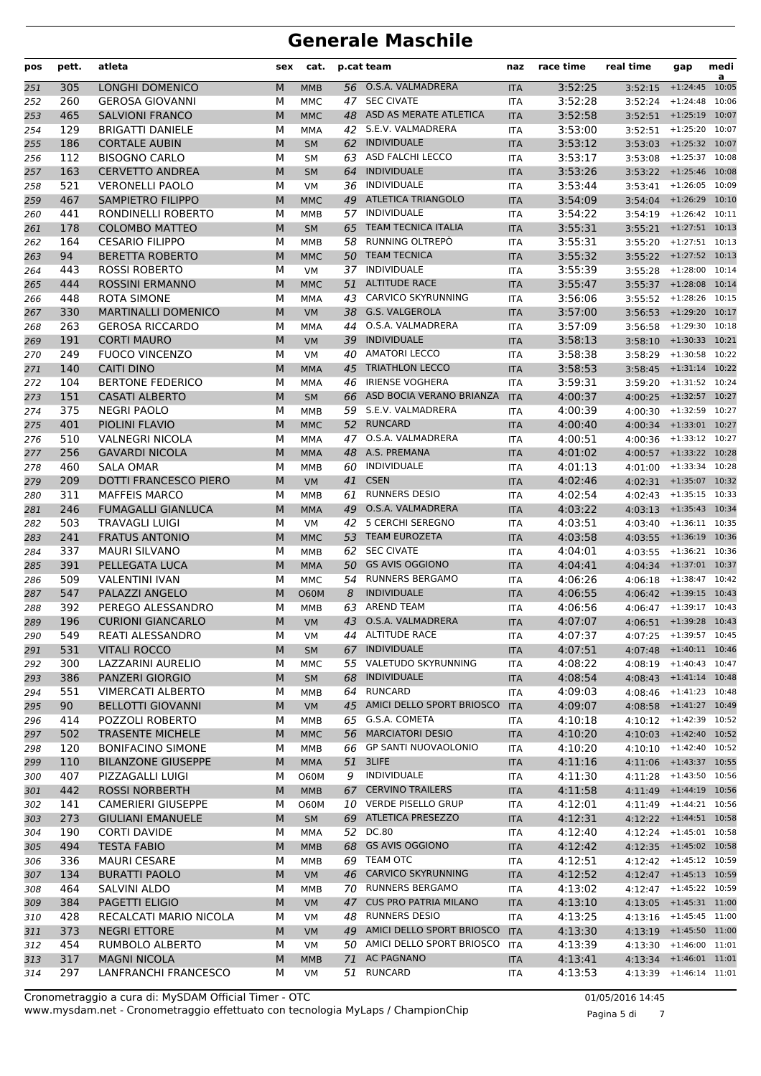| pos        | pett.      | atleta                                    | sex    | cat.                    |    | p.cat team                                       | naz                      | race time          | real time                           | gap                      | medi<br>a |
|------------|------------|-------------------------------------------|--------|-------------------------|----|--------------------------------------------------|--------------------------|--------------------|-------------------------------------|--------------------------|-----------|
| 251        | 305        | <b>LONGHI DOMENICO</b>                    | M      | <b>MMB</b>              |    | 56 O.S.A. VALMADRERA                             | <b>ITA</b>               | 3:52:25            | 3:52:15                             | $+1:24:45$ 10:05         |           |
| 252        | 260        | <b>GEROSA GIOVANNI</b>                    | м      | <b>MMC</b>              |    | 47 SEC CIVATE                                    | <b>ITA</b>               | 3:52:28            |                                     | $3:52:24$ +1:24:48       | 10:06     |
| 253        | 465        | <b>SALVIONI FRANCO</b>                    | M      | <b>MMC</b>              |    | 48 ASD AS MERATE ATLETICA                        | <b>ITA</b>               | 3:52:58            |                                     | $3:52:51$ +1:25:19       | 10:07     |
| 254        | 129        | <b>BRIGATTI DANIELE</b>                   | М      | <b>MMA</b>              |    | 42 S.E.V. VALMADRERA                             | <b>ITA</b>               | 3:53:00            |                                     | 3:52:51 +1:25:20 10:07   |           |
| 255        | 186        | <b>CORTALE AUBIN</b>                      | M      | <b>SM</b>               |    | 62 INDIVIDUALE                                   | <b>ITA</b>               | 3:53:12            |                                     | $3:53:03$ +1:25:32 10:07 |           |
| 256        | 112        | <b>BISOGNO CARLO</b>                      | м      | SM                      |    | 63 ASD FALCHI LECCO                              | ITA                      | 3:53:17            |                                     | $3:53:08$ +1:25:37       | 10:08     |
| 257        | 163        | <b>CERVETTO ANDREA</b>                    | M      | <b>SM</b>               |    | 64 INDIVIDUALE                                   | <b>ITA</b>               | 3:53:26            | 3:53:22 +1:25:46 10:08              |                          |           |
| 258        | 521        | <b>VERONELLI PAOLO</b>                    | М      | <b>VM</b>               |    | 36 INDIVIDUALE                                   | <b>ITA</b>               | 3:53:44            |                                     | 3:53:41 +1:26:05 10:09   |           |
| 259        | 467        | <b>SAMPIETRO FILIPPO</b>                  | M      | <b>MMC</b>              |    | 49 ATLETICA TRIANGOLO                            | <b>ITA</b>               | 3:54:09            |                                     | $3:54:04$ +1:26:29       | 10:10     |
| 260        | 441        | RONDINELLI ROBERTO                        | М      | <b>MMB</b>              | 57 | <b>INDIVIDUALE</b>                               | <b>ITA</b>               | 3:54:22            | 3:54:19                             | $+1:26:42$ 10:11         |           |
| 261        | 178        | <b>COLOMBO MATTEO</b>                     | M      | <b>SM</b>               | 65 | <b>TEAM TECNICA ITALIA</b>                       | <b>ITA</b>               | 3:55:31            |                                     | 3:55:21 +1:27:51 10:13   |           |
| 262        | 164        | <b>CESARIO FILIPPO</b>                    | м      | MMB                     | 58 | RUNNING OLTREPÒ                                  | <b>ITA</b>               | 3:55:31            |                                     | 3:55:20 +1:27:51 10:13   |           |
| 263        | 94         | <b>BERETTA ROBERTO</b>                    | M      | <b>MMC</b>              |    | 50 TEAM TECNICA                                  | <b>ITA</b>               | 3:55:32            | 3:55:22 +1:27:52 10:13              |                          |           |
| 264        | 443        | <b>ROSSI ROBERTO</b>                      | М      | <b>VM</b>               |    | 37 INDIVIDUALE                                   | <b>ITA</b>               | 3:55:39            | 3:55:28                             | $+1:28:00$ 10:14         |           |
| 265        | 444        | <b>ROSSINI ERMANNO</b>                    | M      | <b>MMC</b>              | 51 | <b>ALTITUDE RACE</b>                             | <b>ITA</b>               | 3:55:47            | $3:55:37$ +1:28:08 10:14            |                          |           |
| 266        | 448        | <b>ROTA SIMONE</b>                        | М      | <b>MMA</b>              |    | 43 CARVICO SKYRUNNING                            | <b>ITA</b>               | 3:56:06            |                                     | 3:55:52 +1:28:26 10:15   |           |
| 267        | 330        | <b>MARTINALLI DOMENICO</b>                | M      | <b>VM</b>               |    | 38 G.S. VALGEROLA                                | <b>ITA</b>               | 3:57:00            |                                     | $3:56:53$ +1:29:20 10:17 |           |
| 268        | 263        | <b>GEROSA RICCARDO</b>                    | М      | <b>MMA</b>              |    | 44 O.S.A. VALMADRERA                             | ITA                      | 3:57:09            |                                     | 3:56:58 +1:29:30 10:18   |           |
| 269        | 191        | <b>CORTI MAURO</b>                        | M      | <b>VM</b>               |    | 39 INDIVIDUALE                                   | <b>ITA</b>               | 3:58:13            | $3:58:10$ +1:30:33 10:21            |                          |           |
| 270        | 249        | <b>FUOCO VINCENZO</b>                     | М      | <b>VM</b>               |    | 40 AMATORI LECCO                                 | <b>ITA</b>               | 3:58:38            |                                     | 3:58:29 +1:30:58 10:22   |           |
| 271        | 140        | <b>CAITI DINO</b>                         | M      | <b>MMA</b>              | 45 | <b>TRIATHLON LECCO</b><br><b>IRIENSE VOGHERA</b> | <b>ITA</b>               | 3:58:53            | 3:58:45                             | $+1:31:14$               | 10:22     |
| 272        | 104        | <b>BERTONE FEDERICO</b>                   | М      | <b>MMA</b>              | 46 |                                                  | <b>ITA</b>               | 3:59:31            | 3:59:20                             | $+1:31:52$ 10:24         |           |
| 273        | 151        | <b>CASATI ALBERTO</b>                     | M      | <b>SM</b>               | 66 | ASD BOCIA VERANO BRIANZA                         | <b>ITA</b>               | 4:00:37            | 4:00:25 +1:32:57 10:27              |                          |           |
| 274        | 375        | <b>NEGRI PAOLO</b>                        | м      | <b>MMB</b>              |    | 59 S.E.V. VALMADRERA<br>52 RUNCARD               | ITA                      | 4:00:39            | $4:00:30$ $+1:32:59$ $10:27$        |                          |           |
| 275        | 401        | PIOLINI FLAVIO                            | M      | <b>MMC</b>              |    | 47 O.S.A. VALMADRERA                             | <b>ITA</b>               | 4:00:40            | 4:00:34 +1:33:01 10:27              | $+1:33:12$ 10:27         |           |
| 276        | 510        | <b>VALNEGRI NICOLA</b>                    | М      | <b>MMA</b>              |    | 48 A.S. PREMANA                                  | <b>ITA</b>               | 4:00:51            | 4:00:36<br>$4:00:57$ +1:33:22 10:28 |                          |           |
| 277        | 256<br>460 | <b>GAVARDI NICOLA</b><br><b>SALA OMAR</b> | M<br>М | <b>MMA</b>              |    | 60 INDIVIDUALE                                   | <b>ITA</b>               | 4:01:02<br>4:01:13 |                                     | $+1:33:34$ 10:28         |           |
| 278<br>279 | 209        | <b>DOTTI FRANCESCO PIERO</b>              | M      | <b>MMB</b><br><b>VM</b> |    | 41 CSEN                                          | <b>ITA</b><br><b>ITA</b> | 4:02:46            | 4:01:00                             | 4:02:31 +1:35:07 10:32   |           |
|            | 311        | <b>MAFFEIS MARCO</b>                      | М      | <b>MMB</b>              | 61 | <b>RUNNERS DESIO</b>                             | <b>ITA</b>               | 4:02:54            | 4:02:43 +1:35:15 10:33              |                          |           |
| 280<br>281 | 246        | <b>FUMAGALLI GIANLUCA</b>                 | M      | <b>MMA</b>              |    | 49 O.S.A. VALMADRERA                             | <b>ITA</b>               | 4:03:22            | 4:03:13 +1:35:43 10:34              |                          |           |
| 282        | 503        | <b>TRAVAGLI LUIGI</b>                     | М      | <b>VM</b>               |    | 42 5 CERCHI SEREGNO                              | <b>ITA</b>               | 4:03:51            | 4:03:40                             | $+1:36:11$ 10:35         |           |
| 283        | 241        | <b>FRATUS ANTONIO</b>                     | M      | <b>MMC</b>              | 53 | <b>TEAM EUROZETA</b>                             | <b>ITA</b>               | 4:03:58            | 4:03:55                             | $+1:36:19$ 10:36         |           |
| 284        | 337        | <b>MAURI SILVANO</b>                      | М      | MMB                     | 62 | <b>SEC CIVATE</b>                                | <b>ITA</b>               | 4:04:01            | 4:03:55                             | $+1:36:21$ 10:36         |           |
| 285        | 391        | PELLEGATA LUCA                            | M      | <b>MMA</b>              | 50 | <b>GS AVIS OGGIONO</b>                           | <b>ITA</b>               | 4:04:41            |                                     | 4:04:34 +1:37:01 10:37   |           |
| 286        | 509        | <b>VALENTINI IVAN</b>                     | М      | <b>MMC</b>              |    | 54 RUNNERS BERGAMO                               | ITA                      | 4:06:26            | 4:06:18                             | $+1:38:47$ 10:42         |           |
| 287        | 547        | PALAZZI ANGELO                            | M      | <b>O60M</b>             | 8  | <b>INDIVIDUALE</b>                               | <b>ITA</b>               | 4:06:55            | 4:06:42 +1:39:15 10:43              |                          |           |
| 288        | 392        | PEREGO ALESSANDRO                         | М      | <b>MMB</b>              | 63 | <b>AREND TEAM</b>                                | <b>ITA</b>               | 4:06:56            |                                     | 4:06:47 +1:39:17 10:43   |           |
| 289        | 196        | <b>CURIONI GIANCARLO</b>                  | M      | <b>VM</b>               |    | 43 O.S.A. VALMADRERA                             | <b>ITA</b>               | 4:07:07            | $4:06:51$ +1:39:28 10:43            |                          |           |
| 290        | 549        | REATI ALESSANDRO                          | М      | VM                      |    | 44 ALTITUDE RACE                                 | <b>ITA</b>               | 4:07:37            | 4:07:25 +1:39:57 10:45              |                          |           |
| 291        | 531        | <b>VITALI ROCCO</b>                       | M      | SM                      |    | 67 INDIVIDUALE                                   | <b>ITA</b>               | 4:07:51            | 4:07:48 +1:40:11 10:46              |                          |           |
| 292        | 300        | LAZZARINI AURELIO                         | м      | <b>MMC</b>              |    | 55 VALETUDO SKYRUNNING                           | <b>ITA</b>               | 4:08:22            | $4:08:19$ $+1:40:43$ $10:47$        |                          |           |
| 293        | 386        | <b>PANZERI GIORGIO</b>                    | M      | <b>SM</b>               |    | 68 INDIVIDUALE                                   | <b>ITA</b>               | 4:08:54            | 4:08:43 +1:41:14 10:48              |                          |           |
| 294        | 551        | <b>VIMERCATI ALBERTO</b>                  | М      | MMB                     |    | 64 RUNCARD                                       | ITA                      | 4:09:03            | 4:08:46 +1:41:23 10:48              |                          |           |
| 295        | 90         | <b>BELLOTTI GIOVANNI</b>                  | M      | <b>VM</b>               |    | 45 AMICI DELLO SPORT BRIOSCO                     | <b>ITA</b>               | 4:09:07            | 4:08:58 +1:41:27 10:49              |                          |           |
| 296        | 414        | POZZOLI ROBERTO                           | М      | MMB                     |    | 65 G.S.A. COMETA                                 | ITA                      | 4:10:18            |                                     | 4:10:12 +1:42:39 10:52   |           |
| 297        | 502        | <b>TRASENTE MICHELE</b>                   | M      | <b>MMC</b>              |    | 56 MARCIATORI DESIO                              | <b>ITA</b>               | 4:10:20            | 4:10:03 +1:42:40 10:52              |                          |           |
| 298        | 120        | <b>BONIFACINO SIMONE</b>                  | м      | MMB                     |    | 66 GP SANTI NUOVAOLONIO                          | <b>ITA</b>               | 4:10:20            | 4:10:10 +1:42:40 10:52              |                          |           |
| 299        | 110        | <b>BILANZONE GIUSEPPE</b>                 | M      | <b>MMA</b>              |    | 51 3LIFE                                         | <b>ITA</b>               | 4:11:16            | 4:11:06 +1:43:37 10:55              |                          |           |
| 300        | 407        | PIZZAGALLI LUIGI                          | м      | <b>O60M</b>             | 9  | INDIVIDUALE                                      | <b>ITA</b>               | 4:11:30            | 4:11:28                             | $+1:43:50$ 10:56         |           |
| 301        | 442        | <b>ROSSI NORBERTH</b>                     | M      | <b>MMB</b>              |    | 67 CERVINO TRAILERS                              | <b>ITA</b>               | 4:11:58            | 4:11:49 +1:44:19 10:56              |                          |           |
| 302        | 141        | <b>CAMERIERI GIUSEPPE</b>                 | М      | <b>O60M</b>             |    | 10 VERDE PISELLO GRUP                            | ITA                      | 4:12:01            | 4:11:49                             | $+1:44:21$ 10:56         |           |
| 303        | 273        | <b>GIULIANI EMANUELE</b>                  | M      | <b>SM</b>               |    | 69 ATLETICA PRESEZZO                             | <b>ITA</b>               | 4:12:31            | 4:12:22 +1:44:51 10:58              |                          |           |
| 304        | 190        | <b>CORTI DAVIDE</b>                       | м      | MMA                     |    | 52 DC.80                                         | <b>ITA</b>               | 4:12:40            | 4:12:24 +1:45:01 10:58              |                          |           |
| 305        | 494        | <b>TESTA FABIO</b>                        | M      | <b>MMB</b>              |    | 68 GS AVIS OGGIONO                               | <b>ITA</b>               | 4:12:42            | 4:12:35 +1:45:02 10:58              |                          |           |
| 306        | 336        | <b>MAURI CESARE</b>                       | М      | MMB                     |    | 69 TEAM OTC                                      | ITA                      | 4:12:51            | $4:12:42$ $+1:45:12$ $10:59$        |                          |           |
| 307        | 134        | <b>BURATTI PAOLO</b>                      | M      | <b>VM</b>               |    | 46 CARVICO SKYRUNNING                            | <b>ITA</b>               | 4:12:52            | 4:12:47 +1:45:13 10:59              |                          |           |
| 308        | 464        | SALVINI ALDO                              | М      | MMB                     |    | 70 RUNNERS BERGAMO                               | ITA                      | 4:13:02            | 4:12:47                             | $+1:45:22$ 10:59         |           |
| 309        | 384        | <b>PAGETTI ELIGIO</b>                     | M      | <b>VM</b>               |    | 47 CUS PRO PATRIA MILANO                         | <b>ITA</b>               | 4:13:10            | 4:13:05 +1:45:31 11:00              |                          |           |
| 310        | 428        | RECALCATI MARIO NICOLA                    | м      | VM                      |    | 48 RUNNERS DESIO                                 | ITA                      | 4:13:25            | 4:13:16 +1:45:45 11:00              |                          |           |
| 311        | 373        | <b>NEGRI ETTORE</b>                       | M      | <b>VM</b>               |    | 49 AMICI DELLO SPORT BRIOSCO                     | <b>ITA</b>               | 4:13:30            | 4:13:19 +1:45:50 11:00              |                          |           |
| 312        | 454        | RUMBOLO ALBERTO                           | м      | VM                      |    | 50 AMICI DELLO SPORT BRIOSCO ITA                 |                          | 4:13:39            | 4:13:30                             | $+1:46:00$ 11:01         |           |
| 313        | 317        | <b>MAGNI NICOLA</b>                       | M      | <b>MMB</b>              | 71 | <b>AC PAGNANO</b><br>51 RUNCARD                  | <b>ITA</b>               | 4:13:41            | 4:13:34 +1:46:01 11:01              |                          |           |
| 314        | 297        | LANFRANCHI FRANCESCO                      | М      | VM                      |    |                                                  | ITA                      | 4:13:53            | 4:13:39 +1:46:14 11:01              |                          |           |

www.mysdam.net - Cronometraggio effettuato con tecnologia MyLaps / ChampionChip Cronometraggio a cura di: MySDAM Official Timer - OTC 01/05/2016 14:45

Pagina 5 di 7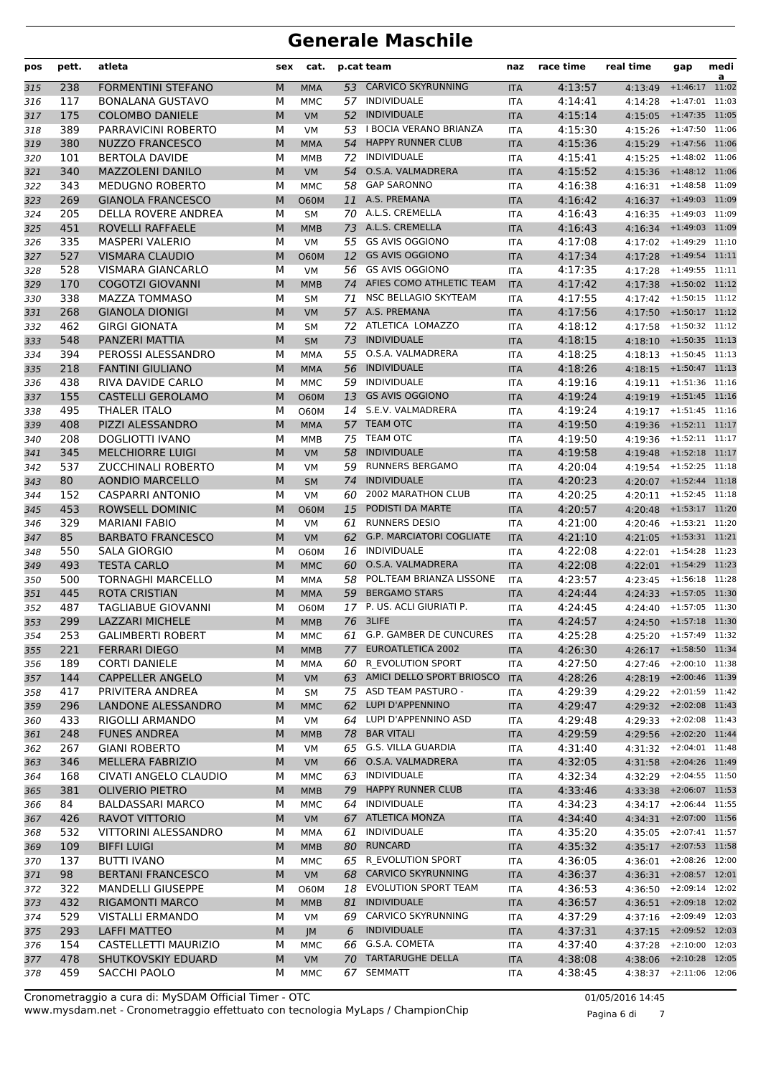| pos        | pett.      | atleta                                    | sex    | cat.                      |          | p.cat team                                              | naz                      | race time          | real time                | gap                                              | medi<br>a |
|------------|------------|-------------------------------------------|--------|---------------------------|----------|---------------------------------------------------------|--------------------------|--------------------|--------------------------|--------------------------------------------------|-----------|
| 315        | 238        | <b>FORMENTINI STEFANO</b>                 | M      | <b>MMA</b>                |          | 53 CARVICO SKYRUNNING                                   | <b>ITA</b>               | 4:13:57            | 4:13:49                  | $+1:46:17$                                       | 11:02     |
| 316        | 117        | <b>BONALANA GUSTAVO</b>                   | М      | <b>MMC</b>                |          | 57 INDIVIDUALE                                          | <b>ITA</b>               | 4:14:41            | 4:14:28                  | $+1:47:01$                                       | 11:03     |
| 317        | 175        | <b>COLOMBO DANIELE</b>                    | M      | <b>VM</b>                 |          | 52 INDIVIDUALE                                          | <b>ITA</b>               | 4:15:14            | 4:15:05                  | $+1:47:35$ 11:05                                 |           |
| 318        | 389        | PARRAVICINI ROBERTO                       | М      | <b>VM</b>                 |          | 53 I BOCIA VERANO BRIANZA                               | <b>ITA</b>               | 4:15:30            | 4:15:26                  | $+1:47:50$ 11:06                                 |           |
| 319        | 380        | <b>NUZZO FRANCESCO</b>                    | M      | <b>MMA</b>                |          | 54 HAPPY RUNNER CLUB                                    | <b>ITA</b>               | 4:15:36            |                          | 4:15:29 +1:47:56 11:06                           |           |
| 320        | 101        | <b>BERTOLA DAVIDE</b>                     | М      | <b>MMB</b>                | 72       | INDIVIDUALE                                             | ITA                      | 4:15:41            | 4:15:25                  | $+1:48:02$ 11:06                                 |           |
| 321        | 340        | <b>MAZZOLENI DANILO</b>                   | M      | <b>VM</b>                 | 54       | O.S.A. VALMADRERA                                       | <b>ITA</b>               | 4:15:52            | 4:15:36                  | $+1:48:12$ 11:06                                 |           |
| 322        | 343        | <b>MEDUGNO ROBERTO</b>                    | М      | <b>MMC</b>                | 58       | <b>GAP SARONNO</b>                                      | <b>ITA</b>               | 4:16:38            |                          | 4:16:31 +1:48:58 11:09                           |           |
| 323        | 269        | <b>GIANOLA FRANCESCO</b>                  | M      | <b>O60M</b>               | 11       | A.S. PREMANA                                            | <b>ITA</b>               | 4:16:42            | 4:16:37                  | $+1:49:03$ 11:09                                 |           |
| 324        | 205        | DELLA ROVERE ANDREA                       | М      | <b>SM</b>                 |          | 70 A.L.S. CREMELLA                                      | <b>ITA</b>               | 4:16:43            | 4:16:35                  | $+1:49:03$ 11:09                                 |           |
| 325        | 451        | ROVELLI RAFFAELE                          | M      | <b>MMB</b>                | 73       | A.L.S. CREMELLA                                         | <b>ITA</b>               | 4:16:43            |                          | 4:16:34 +1:49:03 11:09                           |           |
| 326        | 335        | <b>MASPERI VALERIO</b>                    | М      | <b>VM</b>                 |          | 55 GS AVIS OGGIONO                                      | <b>ITA</b>               | 4:17:08            |                          | 4:17:02 +1:49:29 11:10                           |           |
| 327        | 527        | <b>VISMARA CLAUDIO</b>                    | M      | <b>O60M</b>               |          | 12 GS AVIS OGGIONO                                      | <b>ITA</b>               | 4:17:34            | 4:17:28                  | $+1:49:54$ 11:11                                 |           |
| 328        | 528        | <b>VISMARA GIANCARLO</b>                  | М      | <b>VM</b>                 |          | 56 GS AVIS OGGIONO                                      | <b>ITA</b>               | 4:17:35            | 4:17:28                  | $+1:49:55$ 11:11                                 |           |
| 329        | 170        | <b>COGOTZI GIOVANNI</b>                   | M      | <b>MMB</b>                |          | 74 AFIES COMO ATHLETIC TEAM                             | <b>ITA</b>               | 4:17:42            | 4:17:38                  | $+1:50:02$ 11:12                                 |           |
| 330        | 338        | <b>MAZZA TOMMASO</b>                      | М      | <b>SM</b>                 | 71       | NSC BELLAGIO SKYTEAM                                    | <b>ITA</b>               | 4:17:55            |                          | $4:17:42$ +1:50:15 11:12                         |           |
| 331        | 268        | <b>GIANOLA DIONIGI</b>                    | M      | <b>VM</b>                 |          | 57 A.S. PREMANA                                         | <b>ITA</b>               | 4:17:56            |                          | 4:17:50 +1:50:17 11:12                           |           |
| 332        | 462        | <b>GIRGI GIONATA</b>                      | М      | <b>SM</b>                 |          | 72 ATLETICA LOMAZZO                                     | <b>ITA</b>               | 4:18:12            | 4:17:58                  | $+1:50:32$ 11:12                                 |           |
| 333        | 548        | PANZERI MATTIA                            | M      | <b>SM</b>                 | 73       | <b>INDIVIDUALE</b>                                      | <b>ITA</b>               | 4:18:15            | $4:18:10$ +1:50:35 11:13 |                                                  |           |
| 334        | 394        | PEROSSI ALESSANDRO                        | М      | <b>MMA</b>                |          | 55 O.S.A. VALMADRERA                                    | <b>ITA</b>               | 4:18:25            | 4:18:13                  | $+1:50:45$ 11:13                                 |           |
| 335        | 218        | <b>FANTINI GIULIANO</b>                   | M      | <b>MMA</b>                | 56       | <b>INDIVIDUALE</b>                                      | <b>ITA</b>               | 4:18:26            | 4:18:15                  | $+1:50:47$ 11:13                                 |           |
| 336        | 438        | RIVA DAVIDE CARLO                         | М      | <b>MMC</b>                | 59       | INDIVIDUALE                                             | ITA                      | 4:19:16            | 4:19:11                  | $+1:51:36$ 11:16                                 |           |
| 337        | 155        | <b>CASTELLI GEROLAMO</b>                  | M      | <b>O60M</b>               | 13       | <b>GS AVIS OGGIONO</b>                                  | <b>ITA</b>               | 4:19:24            |                          | 4:19:19 +1:51:45 11:16                           |           |
| 338        | 495        | THALER ITALO                              | М      | <b>O60M</b>               |          | 14 S.E.V. VALMADRERA                                    | <b>ITA</b>               | 4:19:24            |                          | $4:19:17$ $+1:51:45$ $11:16$                     |           |
| 339        | 408        | PIZZI ALESSANDRO                          | M      | <b>MMA</b>                |          | 57 TEAM OTC                                             | <b>ITA</b>               | 4:19:50            |                          | 4:19:36 +1:52:11 11:17                           |           |
| 340        | 208        | DOGLIOTTI IVANO                           | М      | <b>MMB</b>                |          | 75 TEAM OTC                                             | <b>ITA</b>               | 4:19:50            | 4:19:36                  | $+1:52:11$ 11:17                                 |           |
| 341        | 345        | <b>MELCHIORRE LUIGI</b>                   | M      | <b>VM</b>                 | 58       | <b>INDIVIDUALE</b>                                      | <b>ITA</b>               | 4:19:58            | 4:19:48                  | $+1:52:18$ 11:17                                 |           |
| 342        | 537        | <b>ZUCCHINALI ROBERTO</b>                 | М      | <b>VM</b>                 | 59       | <b>RUNNERS BERGAMO</b>                                  | <b>ITA</b>               | 4:20:04            |                          | $4:19:54$ $+1:52:25$ $11:18$                     |           |
| 343        | 80         | <b>AONDIO MARCELLO</b>                    | M      | <b>SM</b>                 | 74       | <b>INDIVIDUALE</b>                                      | <b>ITA</b>               | 4:20:23            |                          | 4:20:07 +1:52:44 11:18                           |           |
| 344        | 152        | <b>CASPARRI ANTONIO</b>                   | М      | <b>VM</b>                 | 60       | 2002 MARATHON CLUB                                      | <b>ITA</b>               | 4:20:25            | 4:20:11                  | $+1:52:45$ 11:18                                 |           |
| 345        | 453        | ROWSELL DOMINIC                           | M      | <b>O60M</b>               |          | 15 PODISTI DA MARTE                                     | <b>ITA</b>               | 4:20:57            |                          | 4:20:48 +1:53:17 11:20                           |           |
| 346        | 329        | <b>MARIANI FABIO</b>                      | М      | <b>VM</b>                 | 61       | <b>RUNNERS DESIO</b><br><b>G.P. MARCIATORI COGLIATE</b> | <b>ITA</b>               | 4:21:00            | 4:20:46                  | +1:53:21 11:20                                   |           |
| 347        | 85         | <b>BARBATO FRANCESCO</b>                  | M      | <b>VM</b>                 | 62       | INDIVIDUALE                                             | <b>ITA</b>               | 4:21:10            | 4:21:05                  | $+1:53:31$ 11:21                                 |           |
| 348        | 550        | <b>SALA GIORGIO</b><br><b>TESTA CARLO</b> | М<br>M | <b>O60M</b><br><b>MMC</b> | 16<br>60 | O.S.A. VALMADRERA                                       | ITA<br><b>ITA</b>        | 4:22:08<br>4:22:08 |                          | 4:22:01 +1:54:28 11:23<br>4:22:01 +1:54:29 11:23 |           |
| 349        | 493<br>500 | TORNAGHI MARCELLO                         | М      |                           | 58       | POL.TEAM BRIANZA LISSONE                                |                          | 4:23:57            |                          | 4:23:45 +1:56:18 11:28                           |           |
| 350        | 445        | <b>ROTA CRISTIAN</b>                      | M      | <b>MMA</b><br><b>MMA</b>  |          | 59 BERGAMO STARS                                        | <b>ITA</b><br><b>ITA</b> | 4:24:44            |                          | 4:24:33 +1:57:05 11:30                           |           |
| 351<br>352 | 487        | TAGLIABUE GIOVANNI                        | м      | <b>O60M</b>               | 17       | P. US. ACLI GIURIATI P.                                 | <b>ITA</b>               | 4:24:45            | 4:24:40                  | $+1:57:05$ 11:30                                 |           |
| 353        | 299        | <b>LAZZARI MICHELE</b>                    | M      | <b>MMB</b>                |          | 76 3LIFE                                                | <b>ITA</b>               | 4:24:57            |                          | 4:24:50 +1:57:18 11:30                           |           |
| 354        | 253        | <b>GALIMBERTI ROBERT</b>                  | М      | MMC                       |          | 61 G.P. GAMBER DE CUNCURES                              | <b>ITA</b>               | 4:25:28            |                          | 4:25:20 +1:57:49 11:32                           |           |
| 355        | 221        | <b>FERRARI DIEGO</b>                      | M      | <b>MMB</b>                |          | 77 EUROATLETICA 2002                                    | <b>ITA</b>               | 4:26:30            |                          | 4:26:17 +1:58:50 11:34                           |           |
| 356        | 189        | <b>CORTI DANIELE</b>                      | м      | MMA                       |          | 60 R_EVOLUTION SPORT                                    | <b>ITA</b>               | 4:27:50            |                          | 4:27:46 +2:00:10 11:38                           |           |
| 357        | 144        | <b>CAPPELLER ANGELO</b>                   | M      | <b>VM</b>                 |          | 63 AMICI DELLO SPORT BRIOSCO                            | <b>ITA</b>               | 4:28:26            | 4:28:19 +2:00:46 11:39   |                                                  |           |
| 358        | 417        | PRIVITERA ANDREA                          | м      | <b>SM</b>                 |          | 75 ASD TEAM PASTURO -                                   | ITA                      | 4:29:39            | 4:29:22 +2:01:59 11:42   |                                                  |           |
| 359        | 296        | LANDONE ALESSANDRO                        | M      | <b>MMC</b>                | 62       | LUPI D'APPENNINO                                        | <b>ITA</b>               | 4:29:47            | 4:29:32 +2:02:08 11:43   |                                                  |           |
| 360        | 433        | RIGOLLI ARMANDO                           | М      | VM                        |          | 64 LUPI D'APPENNINO ASD                                 | ITA                      | 4:29:48            |                          | $4:29:33$ $+2:02:08$ $11:43$                     |           |
| 361        | 248        | <b>FUNES ANDREA</b>                       | M      | <b>MMB</b>                |          | 78 BAR VITALI                                           | <b>ITA</b>               | 4:29:59            |                          | 4:29:56 +2:02:20 11:44                           |           |
| 362        | 267        | <b>GIANI ROBERTO</b>                      | М      | VM                        |          | 65 G.S. VILLA GUARDIA                                   | <b>ITA</b>               | 4:31:40            |                          | $4:31:32$ $+2:04:01$ $11:48$                     |           |
| 363        | 346        | MELLERA FABRIZIO                          | M      | <b>VM</b>                 |          | 66 O.S.A. VALMADRERA                                    | <b>ITA</b>               | 4:32:05            | 4:31:58 +2:04:26 11:49   |                                                  |           |
| 364        | 168        | CIVATI ANGELO CLAUDIO                     | м      | MMC                       |          | 63 INDIVIDUALE                                          | ITA                      | 4:32:34            | 4:32:29                  | $+2:04:55$ 11:50                                 |           |
| 365        | 381        | <b>OLIVERIO PIETRO</b>                    | M      | <b>MMB</b>                |          | 79 HAPPY RUNNER CLUB                                    | <b>ITA</b>               | 4:33:46            | 4:33:38                  | $+2:06:07$ 11:53                                 |           |
| 366        | 84         | <b>BALDASSARI MARCO</b>                   | М      | MMC                       |          | 64 INDIVIDUALE                                          | ITA                      | 4:34:23            | 4:34:17                  | $+2:06:44$ 11:55                                 |           |
| 367        | 426        | RAVOT VITTORIO                            | M      | <b>VM</b>                 |          | 67 ATLETICA MONZA                                       | <b>ITA</b>               | 4:34:40            |                          | 4:34:31 +2:07:00 11:56                           |           |
| 368        | 532        | VITTORINI ALESSANDRO                      | м      | MMA                       | 61       | INDIVIDUALE                                             | ITA                      | 4:35:20            |                          | $4:35:05$ $+2:07:41$ $11:57$                     |           |
| 369        | 109        | <b>BIFFI LUIGI</b>                        | M      | <b>MMB</b>                |          | 80 RUNCARD                                              | <b>ITA</b>               | 4:35:32            | 4:35:17 +2:07:53 11:58   |                                                  |           |
| 370        | 137        | <b>BUTTI IVANO</b>                        | М      | <b>MMC</b>                |          | 65 R EVOLUTION SPORT                                    | <b>ITA</b>               | 4:36:05            | 4:36:01                  | $+2:08:26$ 12:00                                 |           |
| 371        | 98         | <b>BERTANI FRANCESCO</b>                  | M      | <b>VM</b>                 |          | 68 CARVICO SKYRUNNING                                   | <b>ITA</b>               | 4:36:37            | 4:36:31 +2:08:57 12:01   |                                                  |           |
| 372        | 322        | <b>MANDELLI GIUSEPPE</b>                  | М      | <b>O60M</b>               |          | 18 EVOLUTION SPORT TEAM                                 | ITA                      | 4:36:53            | 4:36:50                  | $+2:09:14$ 12:02                                 |           |
| 373        | 432        | <b>RIGAMONTI MARCO</b>                    | M      | <b>MMB</b>                | 81       | <b>INDIVIDUALE</b>                                      | <b>ITA</b>               | 4:36:57            |                          | 4:36:51 +2:09:18 12:02                           |           |
| 374        | 529        | <b>VISTALLI ERMANDO</b>                   | М      | VM                        |          | 69 CARVICO SKYRUNNING                                   | <b>ITA</b>               | 4:37:29            |                          | $4:37:16$ +2:09:49 12:03                         |           |
| 375        | 293        | <b>LAFFI MATTEO</b>                       | M      | JM                        | 6        | <b>INDIVIDUALE</b>                                      | <b>ITA</b>               | 4:37:31            | 4:37:15 +2:09:52 12:03   |                                                  |           |
| 376        | 154        | CASTELLETTI MAURIZIO                      | М      | <b>MMC</b>                |          | 66 G.S.A. COMETA                                        | <b>ITA</b>               | 4:37:40            | 4:37:28                  | $+2:10:00$ 12:03                                 |           |
| 377        | 478        | SHUTKOVSKIY EDUARD                        | M      | VM                        | 70       | <b>TARTARUGHE DELLA</b>                                 | <b>ITA</b>               | 4:38:08            | 4:38:06 +2:10:28 12:05   |                                                  |           |
| 378        | 459        | SACCHI PAOLO                              | М      | <b>MMC</b>                |          | 67 SEMMATT                                              | ITA                      | 4:38:45            |                          | 4:38:37 +2:11:06 12:06                           |           |

www.mysdam.net - Cronometraggio effettuato con tecnologia MyLaps / ChampionChip Cronometraggio a cura di: MySDAM Official Timer - OTC 01/05/2016 14:45

Pagina 6 di 7